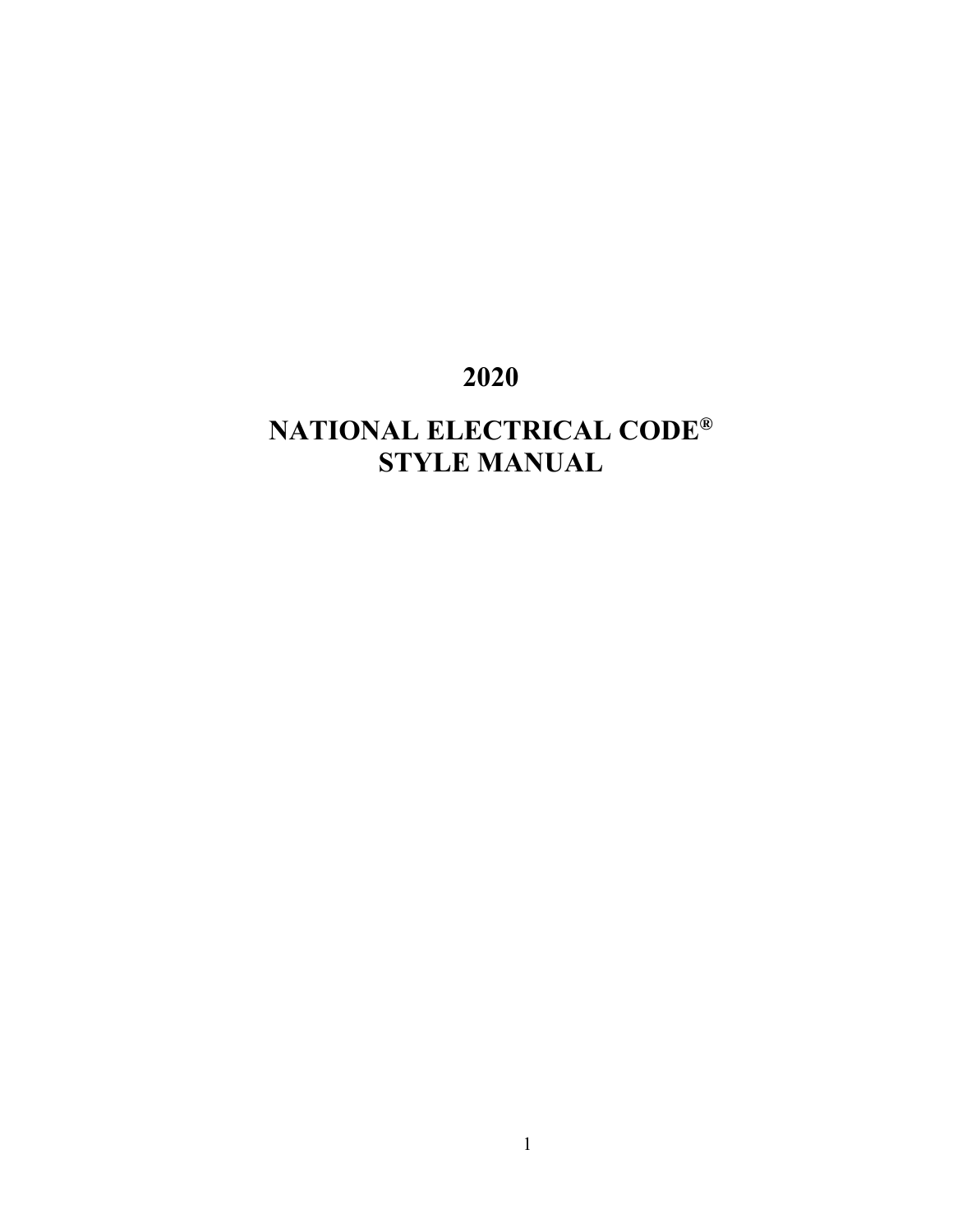# **2020**

# **NATIONAL ELECTRICAL CODE® STYLE MANUAL**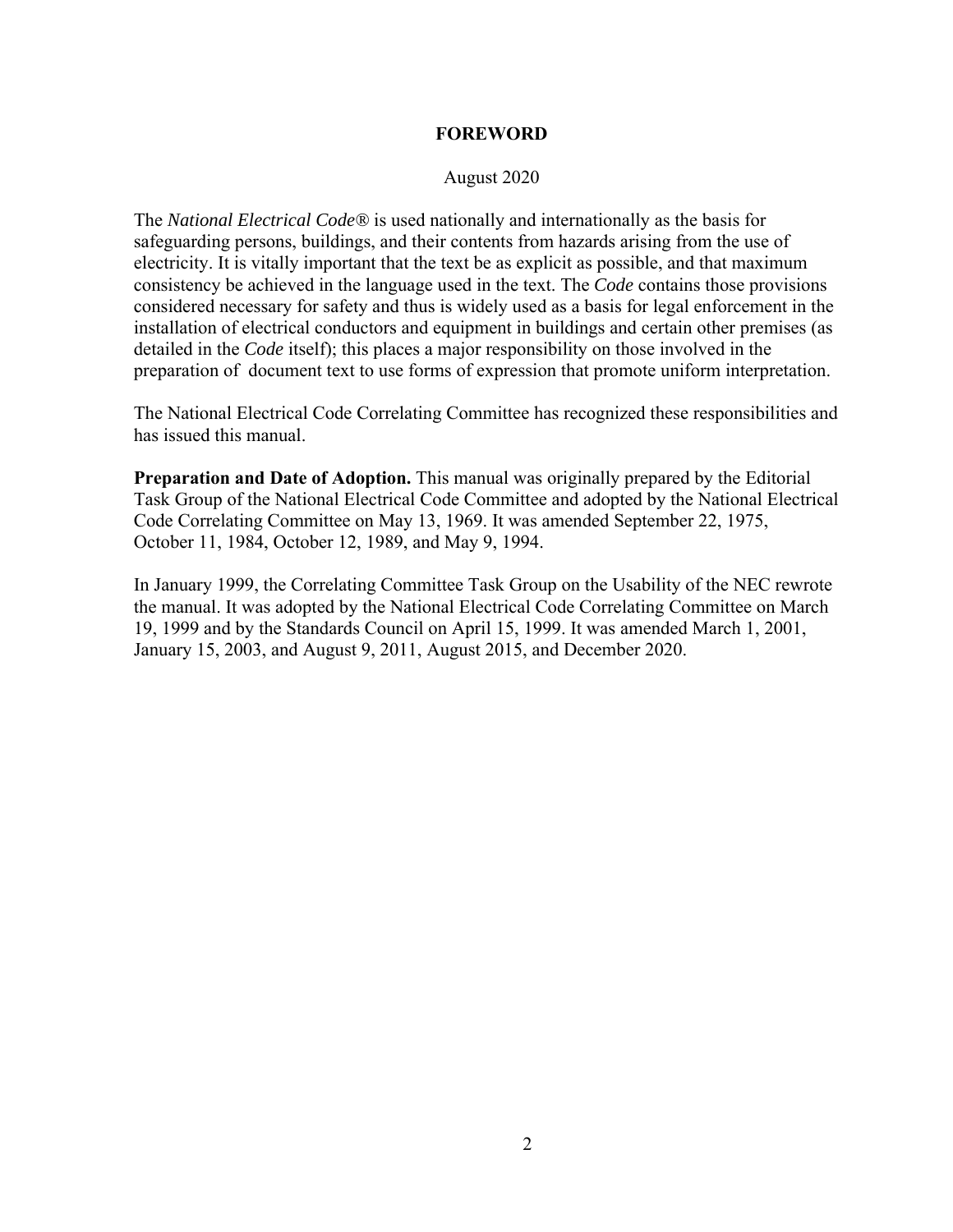### **FOREWORD**

### August 2020

The *National Electrical Code®* is used nationally and internationally as the basis for safeguarding persons, buildings, and their contents from hazards arising from the use of electricity. It is vitally important that the text be as explicit as possible, and that maximum consistency be achieved in the language used in the text. The *Code* contains those provisions considered necessary for safety and thus is widely used as a basis for legal enforcement in the installation of electrical conductors and equipment in buildings and certain other premises (as detailed in the *Code* itself); this places a major responsibility on those involved in the preparation of document text to use forms of expression that promote uniform interpretation.

The National Electrical Code Correlating Committee has recognized these responsibilities and has issued this manual.

**Preparation and Date of Adoption.** This manual was originally prepared by the Editorial Task Group of the National Electrical Code Committee and adopted by the National Electrical Code Correlating Committee on May 13, 1969. It was amended September 22, 1975, October 11, 1984, October 12, 1989, and May 9, 1994.

In January 1999, the Correlating Committee Task Group on the Usability of the NEC rewrote the manual. It was adopted by the National Electrical Code Correlating Committee on March 19, 1999 and by the Standards Council on April 15, 1999. It was amended March 1, 2001, January 15, 2003, and August 9, 2011, August 2015, and December 2020.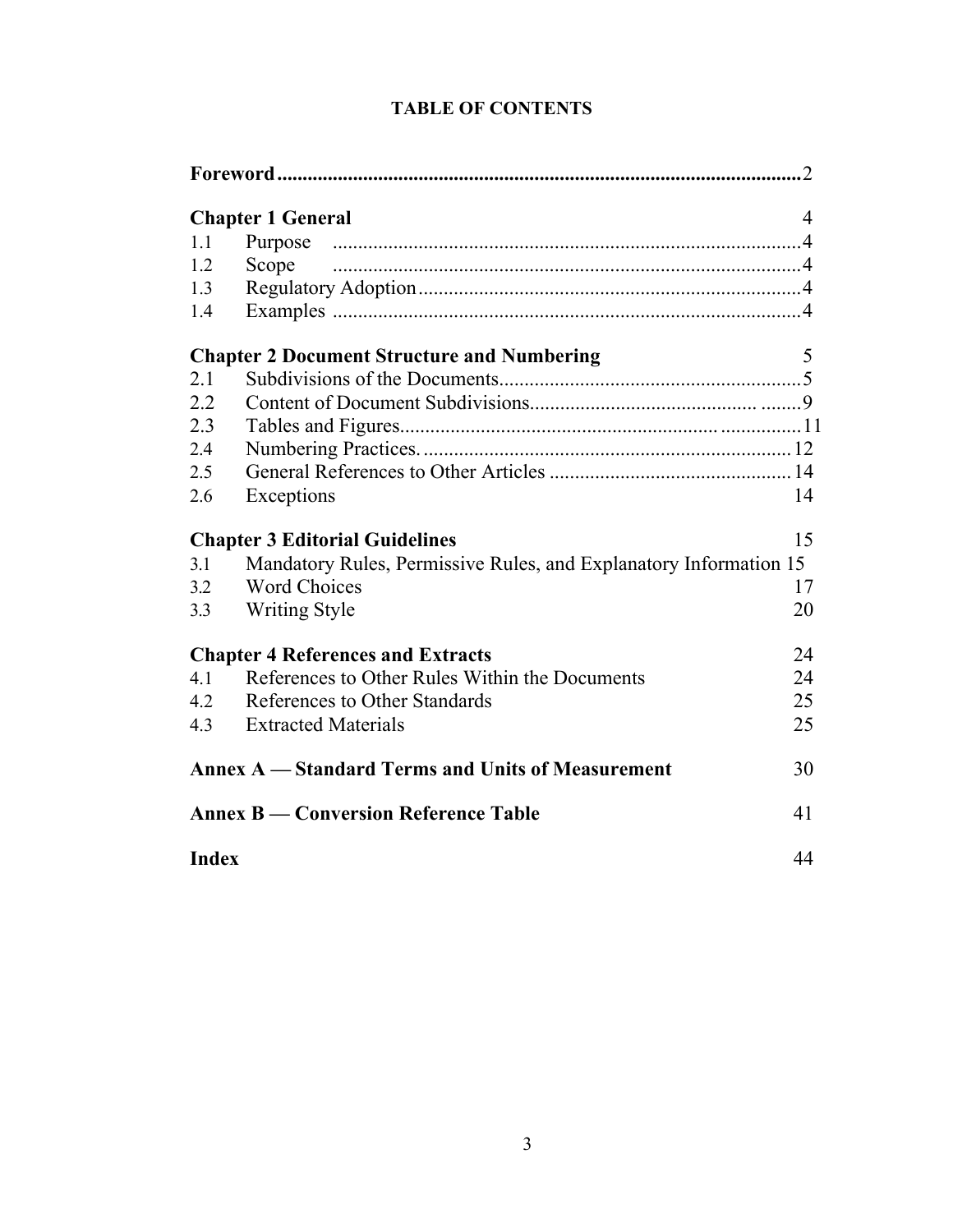| .2                                                             |                                                                   |    |  |
|----------------------------------------------------------------|-------------------------------------------------------------------|----|--|
|                                                                | <b>Chapter 1 General</b>                                          | 4  |  |
| 1.1                                                            |                                                                   |    |  |
| 1.2                                                            | Scope                                                             |    |  |
| 1.3                                                            |                                                                   |    |  |
| 1.4                                                            |                                                                   |    |  |
|                                                                | <b>Chapter 2 Document Structure and Numbering</b>                 | 5  |  |
| 2.1                                                            |                                                                   |    |  |
| 2.2                                                            |                                                                   |    |  |
| 2.3                                                            |                                                                   |    |  |
| 2.4                                                            |                                                                   |    |  |
| 2.5                                                            |                                                                   |    |  |
| 2.6                                                            | Exceptions                                                        | 14 |  |
|                                                                | <b>Chapter 3 Editorial Guidelines</b>                             | 15 |  |
| 3.1                                                            | Mandatory Rules, Permissive Rules, and Explanatory Information 15 |    |  |
| 3.2                                                            | <b>Word Choices</b>                                               | 17 |  |
| 3.3                                                            | <b>Writing Style</b>                                              | 20 |  |
|                                                                | <b>Chapter 4 References and Extracts</b>                          | 24 |  |
| 4.1                                                            | References to Other Rules Within the Documents                    | 24 |  |
| 4.2                                                            | References to Other Standards                                     | 25 |  |
| 4.3                                                            | <b>Extracted Materials</b>                                        | 25 |  |
| <b>Annex A</b> — Standard Terms and Units of Measurement<br>30 |                                                                   |    |  |
|                                                                | <b>Annex B — Conversion Reference Table</b><br>41                 |    |  |
|                                                                | <b>Index</b><br>44                                                |    |  |

# **TABLE OF CONTENTS**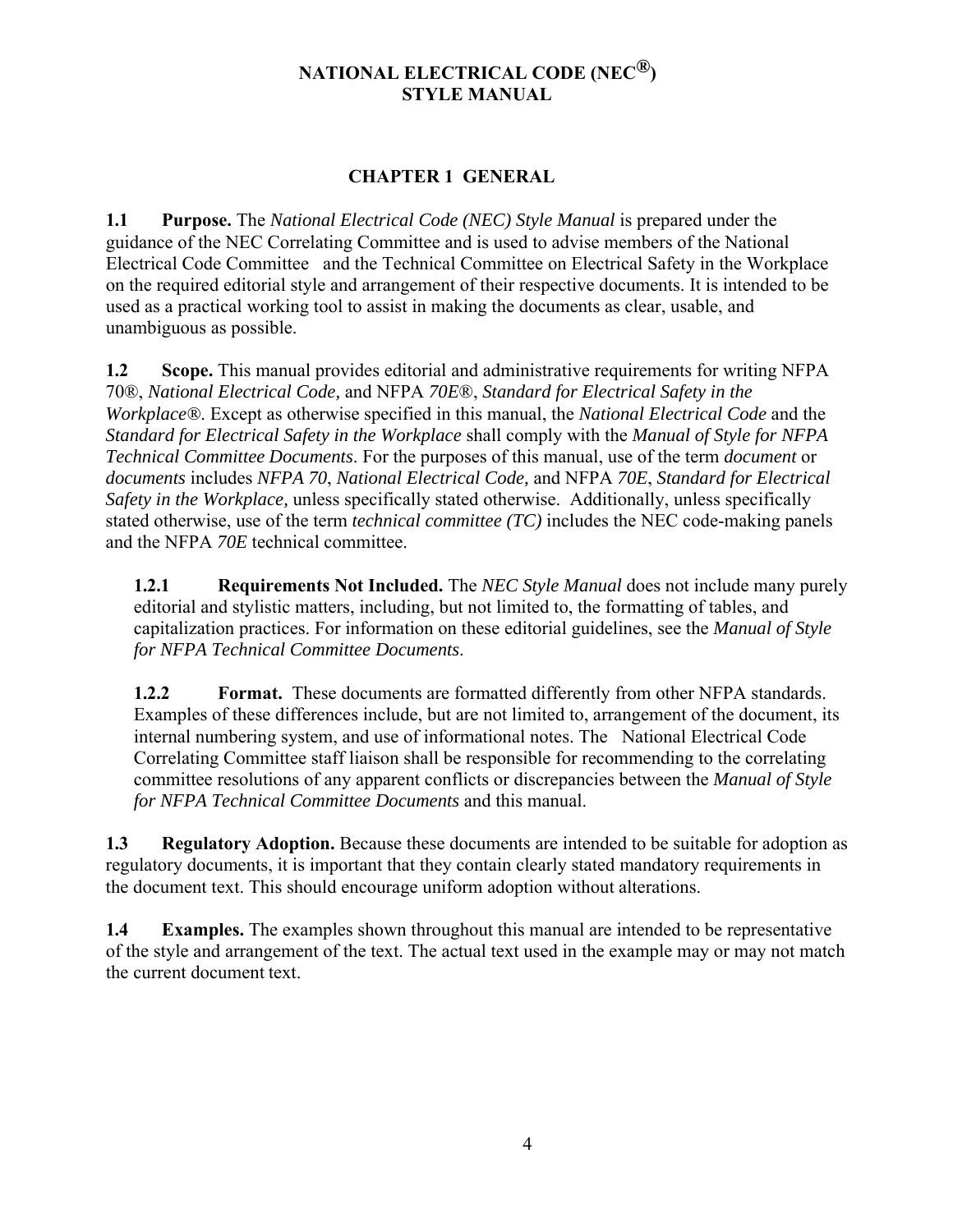# **NATIONAL ELECTRICAL CODE (NEC®) STYLE MANUAL**

# **CHAPTER 1 GENERAL**

**1.1 Purpose.** The *National Electrical Code (NEC) Style Manual* is prepared under the guidance of the NEC Correlating Committee and is used to advise members of the National Electrical Code Committee and the Technical Committee on Electrical Safety in the Workplace on the required editorial style and arrangement of their respective documents. It is intended to be used as a practical working tool to assist in making the documents as clear, usable, and unambiguous as possible.

**1.2 Scope.** This manual provides editorial and administrative requirements for writing NFPA 70®, *National Electrical Code,* and NFPA *70E*®, *Standard for Electrical Safety in the Workplace®*. Except as otherwise specified in this manual, the *National Electrical Code* and the *Standard for Electrical Safety in the Workplace* shall comply with the *Manual of Style for NFPA Technical Committee Documents*. For the purposes of this manual, use of the term *document* or *documents* includes *NFPA 70*, *National Electrical Code,* and NFPA *70E*, *Standard for Electrical Safety in the Workplace,* unless specifically stated otherwise. Additionally, unless specifically stated otherwise, use of the term *technical committee (TC)* includes the NEC code-making panels and the NFPA *70E* technical committee.

**1.2.1 Requirements Not Included.** The *NEC Style Manual* does not include many purely editorial and stylistic matters, including, but not limited to, the formatting of tables, and capitalization practices. For information on these editorial guidelines, see the *Manual of Style for NFPA Technical Committee Documents*.

**1.2.2 Format.** These documents are formatted differently from other NFPA standards. Examples of these differences include, but are not limited to, arrangement of the document, its internal numbering system, and use of informational notes. The National Electrical Code Correlating Committee staff liaison shall be responsible for recommending to the correlating committee resolutions of any apparent conflicts or discrepancies between the *Manual of Style for NFPA Technical Committee Documents* and this manual.

**1.3 Regulatory Adoption.** Because these documents are intended to be suitable for adoption as regulatory documents, it is important that they contain clearly stated mandatory requirements in the document text. This should encourage uniform adoption without alterations.

**1.4 Examples.** The examples shown throughout this manual are intended to be representative of the style and arrangement of the text. The actual text used in the example may or may not match the current document text.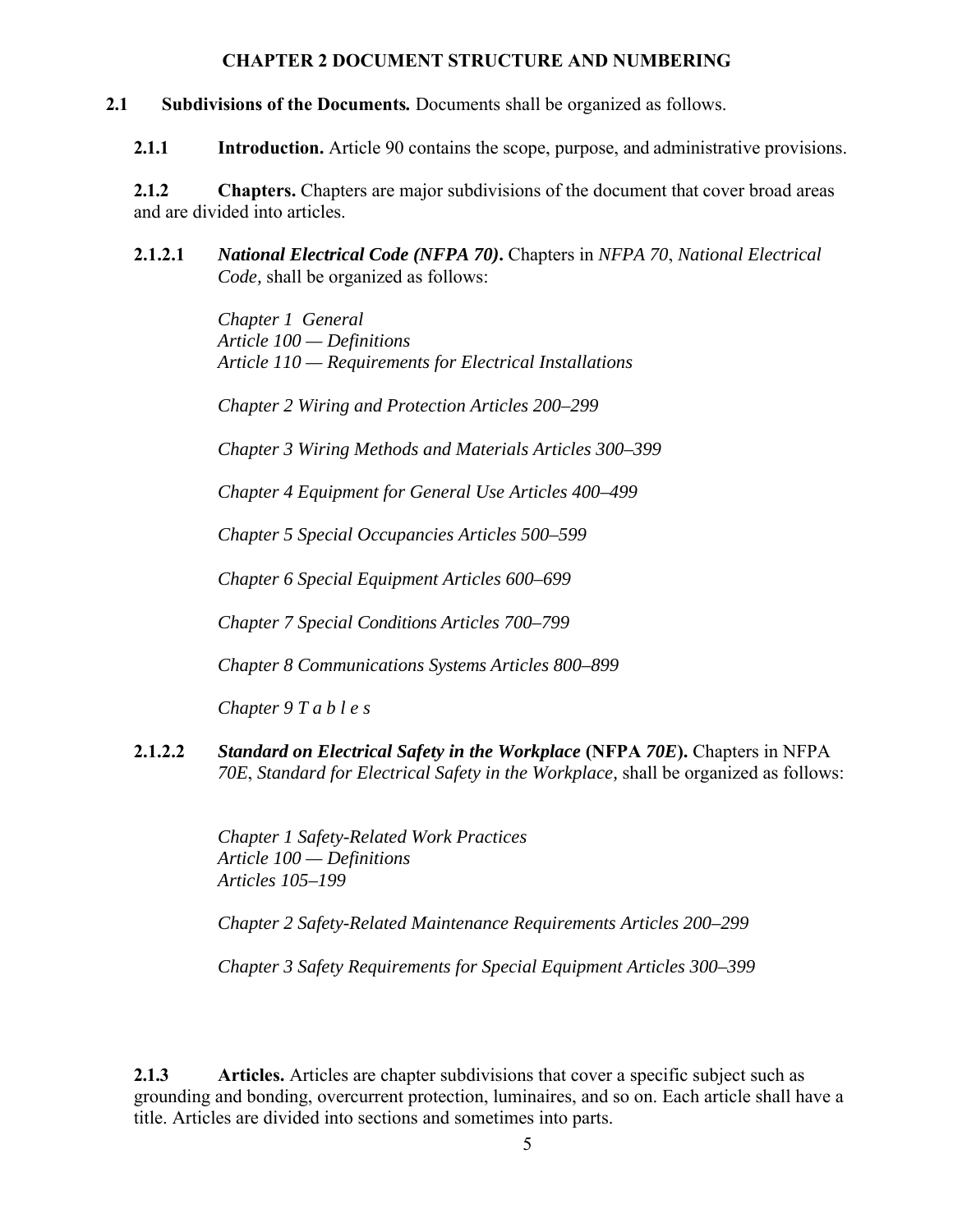### **CHAPTER 2 DOCUMENT STRUCTURE AND NUMBERING**

- **2.1 Subdivisions of the Documents***.* Documents shall be organized as follows.
	- **2.1.1 Introduction.** Article 90 contains the scope, purpose, and administrative provisions.

**2.1.2 Chapters.** Chapters are major subdivisions of the document that cover broad areas and are divided into articles.

**2.1.2.1** *National Electrical Code (NFPA 70)***.** Chapters in *NFPA 70*, *National Electrical Code,* shall be organized as follows:

> *Chapter 1 General Article 100 — Definitions Article 110 — Requirements for Electrical Installations*

*Chapter 2 Wiring and Protection Articles 200–299* 

*Chapter 3 Wiring Methods and Materials Articles 300–399* 

*Chapter 4 Equipment for General Use Articles 400–499* 

*Chapter 5 Special Occupancies Articles 500–599* 

*Chapter 6 Special Equipment Articles 600–699* 

*Chapter 7 Special Conditions Articles 700–799* 

*Chapter 8 Communications Systems Articles 800–899* 

*Chapter 9 T a b l e s* 

**2.1.2.2** *Standard on Electrical Safety in the Workplace* **(NFPA** *70E***).** Chapters in NFPA *70E*, *Standard for Electrical Safety in the Workplace,* shall be organized as follows:

> *Chapter 1 Safety-Related Work Practices Article 100 — Definitions Articles 105–199*

*Chapter 2 Safety-Related Maintenance Requirements Articles 200–299* 

*Chapter 3 Safety Requirements for Special Equipment Articles 300–399* 

**2.1.3 Articles.** Articles are chapter subdivisions that cover a specific subject such as grounding and bonding, overcurrent protection, luminaires, and so on. Each article shall have a title. Articles are divided into sections and sometimes into parts.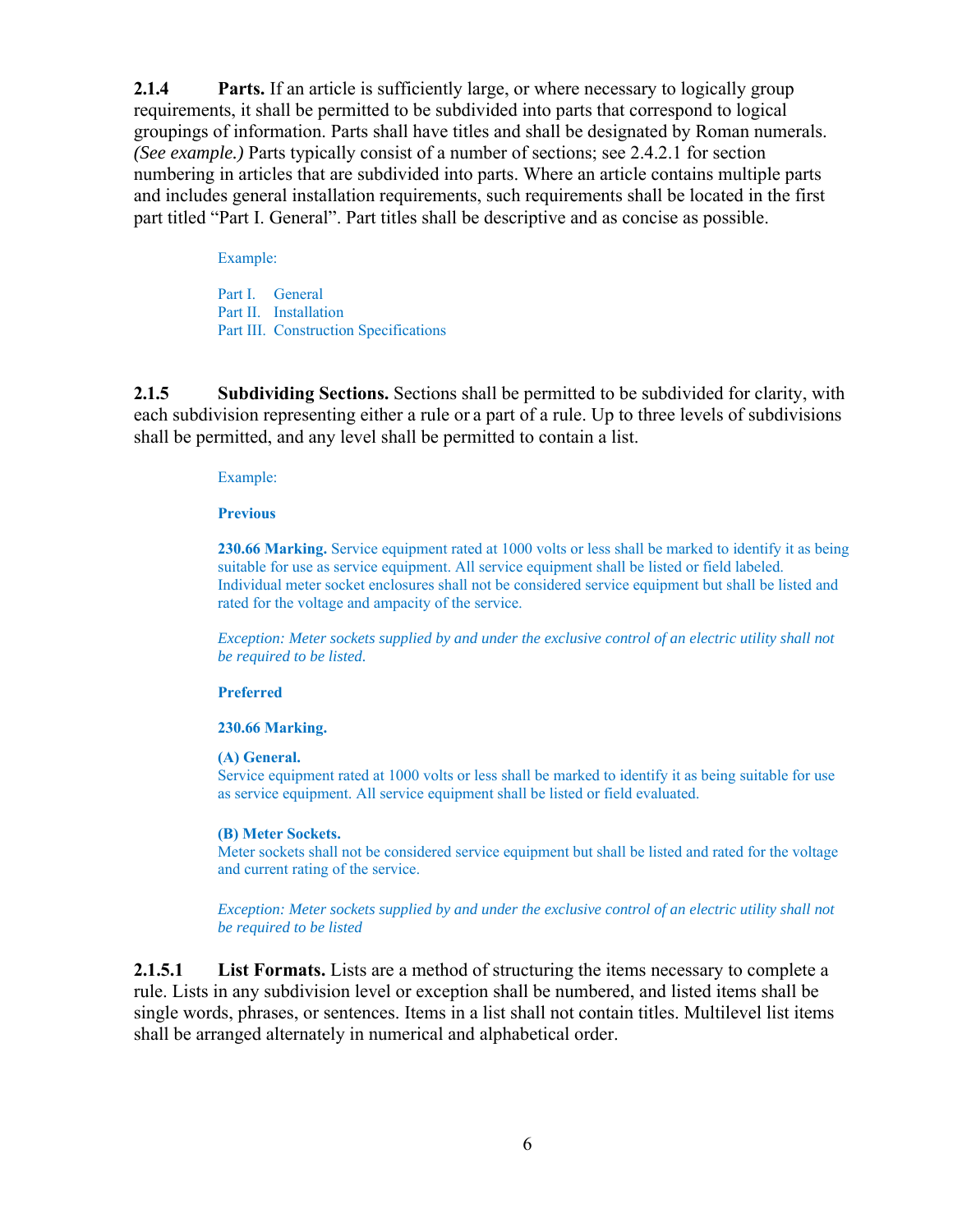**2.1.4 Parts.** If an article is sufficiently large, or where necessary to logically group requirements, it shall be permitted to be subdivided into parts that correspond to logical groupings of information. Parts shall have titles and shall be designated by Roman numerals. *(See example.)* Parts typically consist of a number of sections; see 2.4.2.1 for section numbering in articles that are subdivided into parts. Where an article contains multiple parts and includes general installation requirements, such requirements shall be located in the first part titled "Part I. General". Part titles shall be descriptive and as concise as possible.

#### Example:

Part I. General Part II. Installation Part III. Construction Specifications

**2.1.5 Subdividing Sections.** Sections shall be permitted to be subdivided for clarity, with each subdivision representing either a rule or a part of a rule. Up to three levels of subdivisions shall be permitted, and any level shall be permitted to contain a list.

#### Example:

### **Previous**

**230.66 Marking.** Service equipment rated at 1000 volts or less shall be marked to identify it as being suitable for use as service equipment. All service equipment shall be listed or field labeled. Individual meter socket enclosures shall not be considered service equipment but shall be listed and rated for the voltage and ampacity of the service.

*Exception: Meter sockets supplied by and under the exclusive control of an electric utility shall not be required to be listed.* 

### **Preferred**

### **230.66 Marking.**

#### **(A) General.**

Service equipment rated at 1000 volts or less shall be marked to identify it as being suitable for use as service equipment. All service equipment shall be listed or field evaluated.

### **(B) Meter Sockets.**

Meter sockets shall not be considered service equipment but shall be listed and rated for the voltage and current rating of the service.

*Exception: Meter sockets supplied by and under the exclusive control of an electric utility shall not be required to be listed*

**2.1.5.1 List Formats.** Lists are a method of structuring the items necessary to complete a rule. Lists in any subdivision level or exception shall be numbered, and listed items shall be single words, phrases, or sentences. Items in a list shall not contain titles. Multilevel list items shall be arranged alternately in numerical and alphabetical order.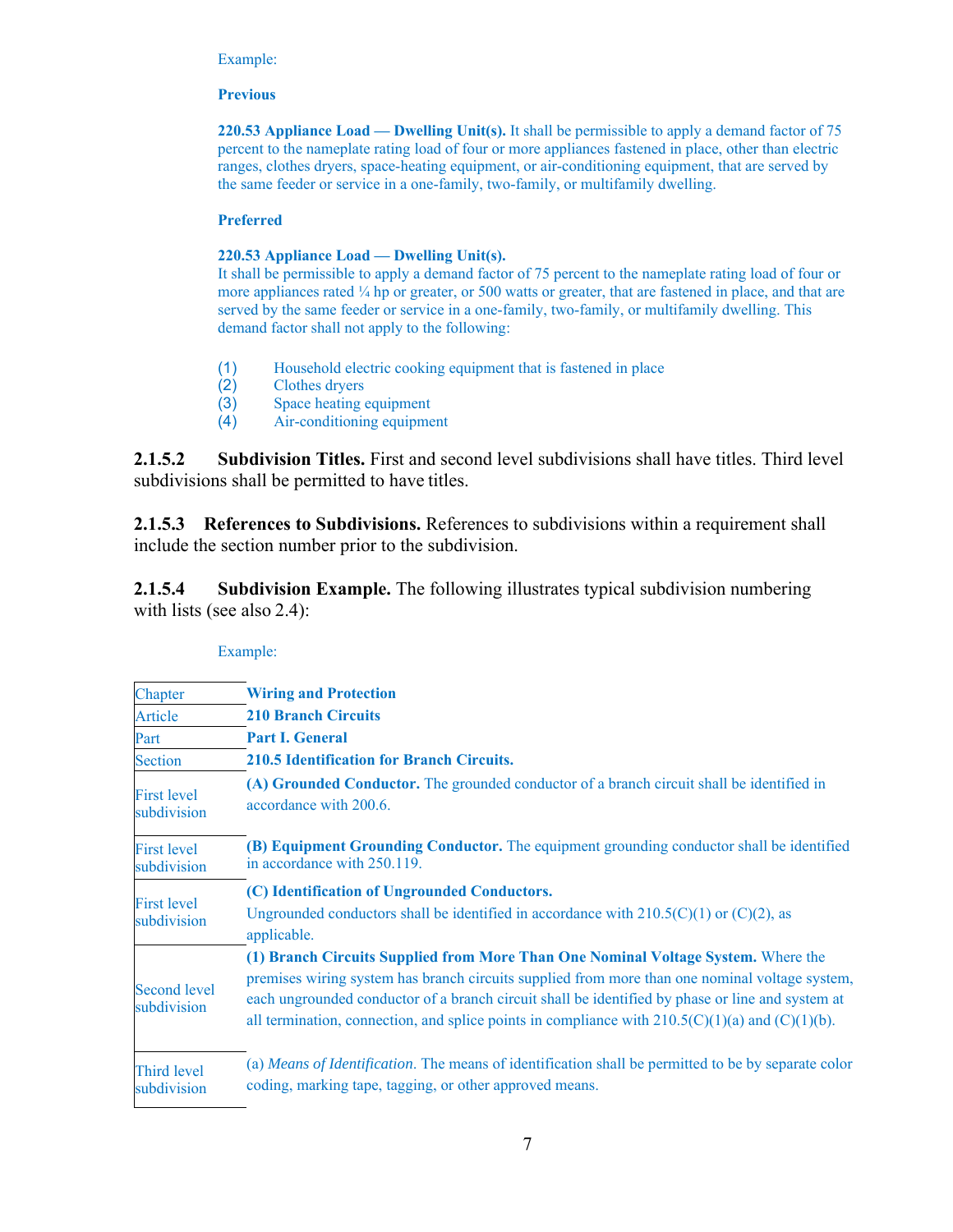#### Example:

### **Previous**

**220.53 Appliance Load — Dwelling Unit(s).** It shall be permissible to apply a demand factor of 75 percent to the nameplate rating load of four or more appliances fastened in place, other than electric ranges, clothes dryers, space-heating equipment, or air-conditioning equipment, that are served by the same feeder or service in a one-family, two-family, or multifamily dwelling.

### **Preferred**

### **220.53 Appliance Load — Dwelling Unit(s).**

It shall be permissible to apply a demand factor of 75 percent to the nameplate rating load of four or more appliances rated  $\frac{1}{4}$  hp or greater, or 500 watts or greater, that are fastened in place, and that are served by the same feeder or service in a one-family, two-family, or multifamily dwelling. This demand factor shall not apply to the following:

- (1) Household electric cooking equipment that is fastened in place
- (2) Clothes dryers
- (3) Space heating equipment
- (4) Air-conditioning equipment

**2.1.5.2 Subdivision Titles.** First and second level subdivisions shall have titles. Third level subdivisions shall be permitted to have titles.

**2.1.5.3 References to Subdivisions.** References to subdivisions within a requirement shall include the section number prior to the subdivision.

**2.1.5.4** Subdivision Example. The following illustrates typical subdivision numbering with lists (see also 2.4):

| Chapter                            | <b>Wiring and Protection</b>                                                                                                                                                                                                                                                                                                                                                                    |
|------------------------------------|-------------------------------------------------------------------------------------------------------------------------------------------------------------------------------------------------------------------------------------------------------------------------------------------------------------------------------------------------------------------------------------------------|
| Article                            | <b>210 Branch Circuits</b>                                                                                                                                                                                                                                                                                                                                                                      |
| Part                               | <b>Part I. General</b>                                                                                                                                                                                                                                                                                                                                                                          |
| <b>Section</b>                     | 210.5 Identification for Branch Circuits.                                                                                                                                                                                                                                                                                                                                                       |
| <b>First level</b><br>subdivision  | (A) Grounded Conductor. The grounded conductor of a branch circuit shall be identified in<br>accordance with 200.6.                                                                                                                                                                                                                                                                             |
| <b>First level</b><br>subdivision  | (B) Equipment Grounding Conductor. The equipment grounding conductor shall be identified<br>in accordance with 250.119.                                                                                                                                                                                                                                                                         |
|                                    | (C) Identification of Ungrounded Conductors.                                                                                                                                                                                                                                                                                                                                                    |
| <b>First level</b><br>subdivision  | Ungrounded conductors shall be identified in accordance with $210.5(C)(1)$ or $(C)(2)$ , as<br>applicable.                                                                                                                                                                                                                                                                                      |
| <b>Second level</b><br>subdivision | (1) Branch Circuits Supplied from More Than One Nominal Voltage System. Where the<br>premises wiring system has branch circuits supplied from more than one nominal voltage system,<br>each ungrounded conductor of a branch circuit shall be identified by phase or line and system at<br>all termination, connection, and splice points in compliance with $210.5(C)(1)(a)$ and $(C)(1)(b)$ . |
| <b>Third level</b><br>subdivision  | (a) Means of Identification. The means of identification shall be permitted to be by separate color<br>coding, marking tape, tagging, or other approved means.                                                                                                                                                                                                                                  |

### Example: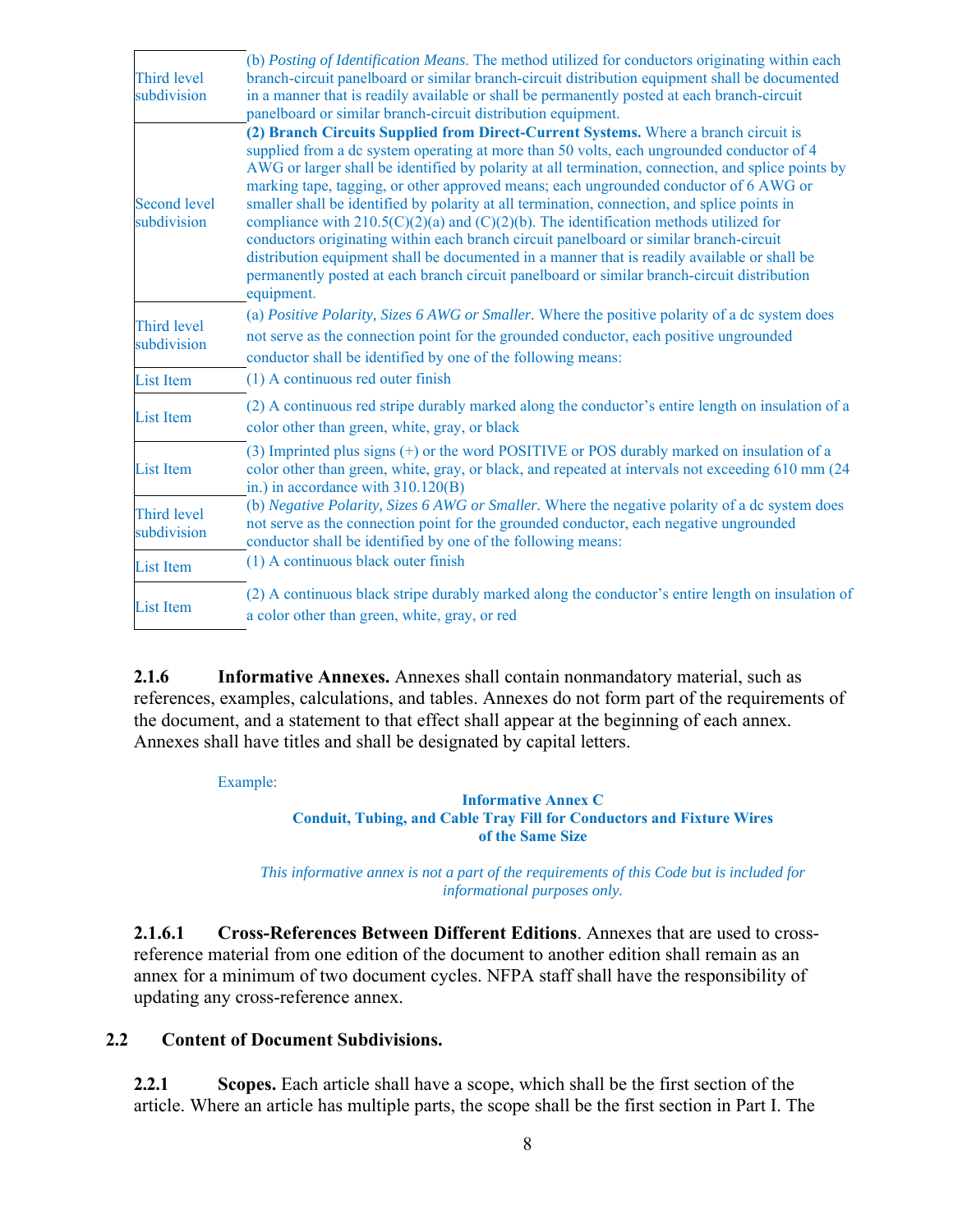| Third level<br>subdivision         | (b) Posting of Identification Means. The method utilized for conductors originating within each<br>branch-circuit panelboard or similar branch-circuit distribution equipment shall be documented<br>in a manner that is readily available or shall be permanently posted at each branch-circuit<br>panelboard or similar branch-circuit distribution equipment.                                                                                                                                                                                                                                                                                                                                                                                                                                                                                                                     |
|------------------------------------|--------------------------------------------------------------------------------------------------------------------------------------------------------------------------------------------------------------------------------------------------------------------------------------------------------------------------------------------------------------------------------------------------------------------------------------------------------------------------------------------------------------------------------------------------------------------------------------------------------------------------------------------------------------------------------------------------------------------------------------------------------------------------------------------------------------------------------------------------------------------------------------|
| <b>Second level</b><br>subdivision | (2) Branch Circuits Supplied from Direct-Current Systems. Where a branch circuit is<br>supplied from a dc system operating at more than 50 volts, each ungrounded conductor of 4<br>AWG or larger shall be identified by polarity at all termination, connection, and splice points by<br>marking tape, tagging, or other approved means; each ungrounded conductor of 6 AWG or<br>smaller shall be identified by polarity at all termination, connection, and splice points in<br>compliance with $210.5(C)(2)(a)$ and $(C)(2)(b)$ . The identification methods utilized for<br>conductors originating within each branch circuit panelboard or similar branch-circuit<br>distribution equipment shall be documented in a manner that is readily available or shall be<br>permanently posted at each branch circuit panelboard or similar branch-circuit distribution<br>equipment. |
| <b>Third level</b><br>subdivision  | (a) Positive Polarity, Sizes 6 AWG or Smaller. Where the positive polarity of a dc system does<br>not serve as the connection point for the grounded conductor, each positive ungrounded<br>conductor shall be identified by one of the following means:                                                                                                                                                                                                                                                                                                                                                                                                                                                                                                                                                                                                                             |
| <b>List Item</b>                   | (1) A continuous red outer finish                                                                                                                                                                                                                                                                                                                                                                                                                                                                                                                                                                                                                                                                                                                                                                                                                                                    |
| <b>List Item</b>                   | (2) A continuous red stripe durably marked along the conductor's entire length on insulation of a<br>color other than green, white, gray, or black                                                                                                                                                                                                                                                                                                                                                                                                                                                                                                                                                                                                                                                                                                                                   |
| <b>List Item</b>                   | $(3)$ Imprinted plus signs $(+)$ or the word POSITIVE or POS durably marked on insulation of a<br>color other than green, white, gray, or black, and repeated at intervals not exceeding 610 mm (24<br>in.) in accordance with 310.120(B)                                                                                                                                                                                                                                                                                                                                                                                                                                                                                                                                                                                                                                            |
| <b>Third level</b><br>subdivision  | (b) Negative Polarity, Sizes 6 AWG or Smaller. Where the negative polarity of a dc system does<br>not serve as the connection point for the grounded conductor, each negative ungrounded<br>conductor shall be identified by one of the following means:                                                                                                                                                                                                                                                                                                                                                                                                                                                                                                                                                                                                                             |
| <b>List Item</b>                   | (1) A continuous black outer finish                                                                                                                                                                                                                                                                                                                                                                                                                                                                                                                                                                                                                                                                                                                                                                                                                                                  |
| <b>List Item</b>                   | (2) A continuous black stripe durably marked along the conductor's entire length on insulation of<br>a color other than green, white, gray, or red                                                                                                                                                                                                                                                                                                                                                                                                                                                                                                                                                                                                                                                                                                                                   |

**2.1.6 Informative Annexes.** Annexes shall contain nonmandatory material, such as references, examples, calculations, and tables. Annexes do not form part of the requirements of the document, and a statement to that effect shall appear at the beginning of each annex. Annexes shall have titles and shall be designated by capital letters.

Example:

### **Informative Annex C Conduit, Tubing, and Cable Tray Fill for Conductors and Fixture Wires of the Same Size**

*This informative annex is not a part of the requirements of this Code but is included for informational purposes only.* 

**2.1.6.1 Cross-References Between Different Editions**. Annexes that are used to crossreference material from one edition of the document to another edition shall remain as an annex for a minimum of two document cycles. NFPA staff shall have the responsibility of updating any cross-reference annex.

# **2.2 Content of Document Subdivisions.**

**2.2.1 Scopes.** Each article shall have a scope, which shall be the first section of the article. Where an article has multiple parts, the scope shall be the first section in Part I. The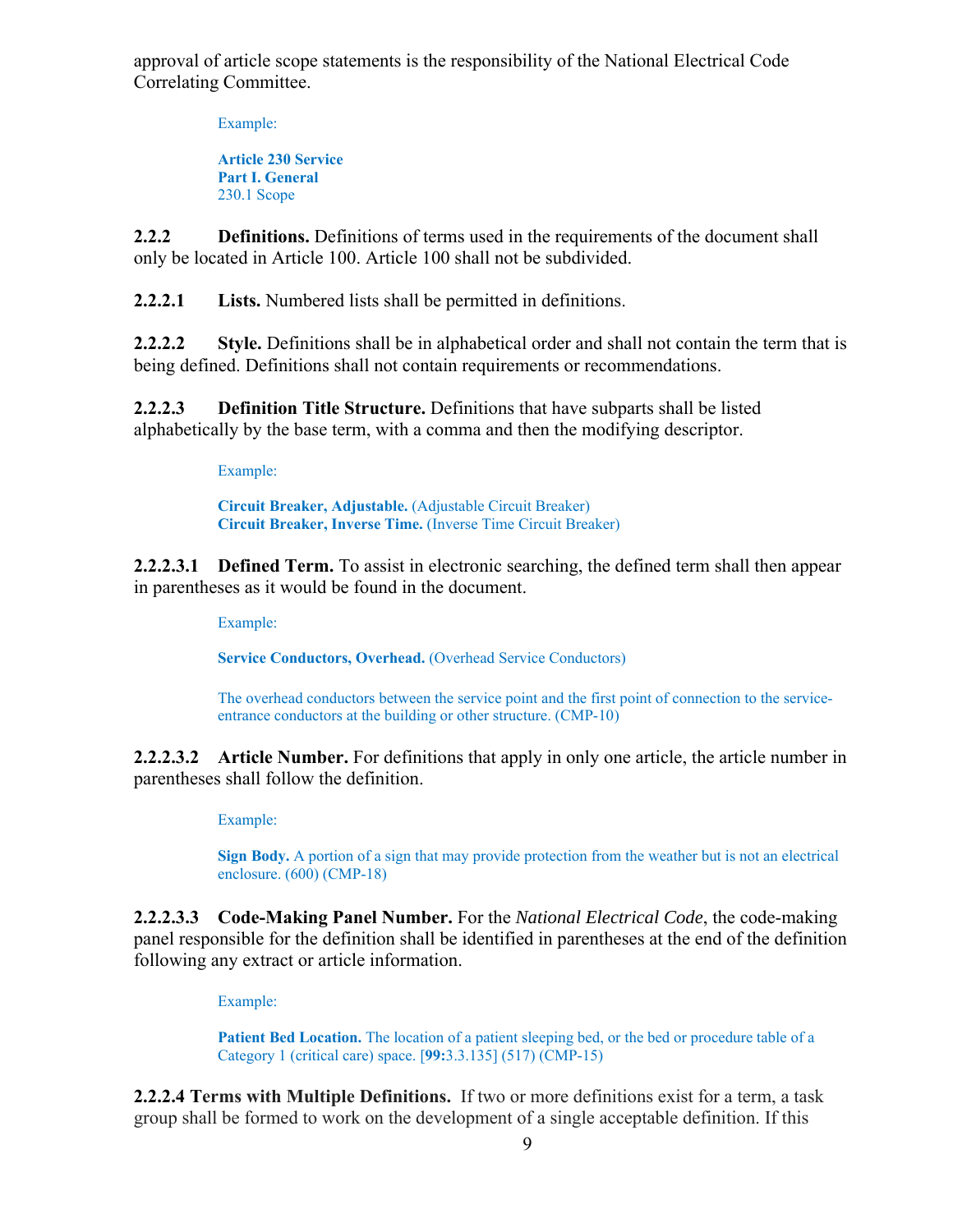approval of article scope statements is the responsibility of the National Electrical Code Correlating Committee.

Example:

**Article 230 Service Part I. General**  230.1 Scope

**2.2.2** Definitions. Definitions of terms used in the requirements of the document shall only be located in Article 100. Article 100 shall not be subdivided.

**2.2.2.1 Lists.** Numbered lists shall be permitted in definitions.

**2.2.2.2 Style.** Definitions shall be in alphabetical order and shall not contain the term that is being defined. Definitions shall not contain requirements or recommendations.

**2.2.2.3 Definition Title Structure.** Definitions that have subparts shall be listed alphabetically by the base term, with a comma and then the modifying descriptor.

Example:

**Circuit Breaker, Adjustable.** (Adjustable Circuit Breaker) **Circuit Breaker, Inverse Time.** (Inverse Time Circuit Breaker)

**2.2.2.3.1 Defined Term.** To assist in electronic searching, the defined term shall then appear in parentheses as it would be found in the document.

Example:

**Service Conductors, Overhead.** (Overhead Service Conductors)

The overhead conductors between the service point and the first point of connection to the serviceentrance conductors at the building or other structure. (CMP-10)

**2.2.2.3.2 Article Number.** For definitions that apply in only one article, the article number in parentheses shall follow the definition.

Example:

**Sign Body.** A portion of a sign that may provide protection from the weather but is not an electrical enclosure. (600) (CMP-18)

**2.2.2.3.3 Code-Making Panel Number.** For the *National Electrical Code*, the code-making panel responsible for the definition shall be identified in parentheses at the end of the definition following any extract or article information.

Example:

**Patient Bed Location.** The location of a patient sleeping bed, or the bed or procedure table of a Category 1 (critical care) space. [**99:**3.3.135] (517) (CMP-15)

**2.2.2.4 Terms with Multiple Definitions.** If two or more definitions exist for a term, a task group shall be formed to work on the development of a single acceptable definition. If this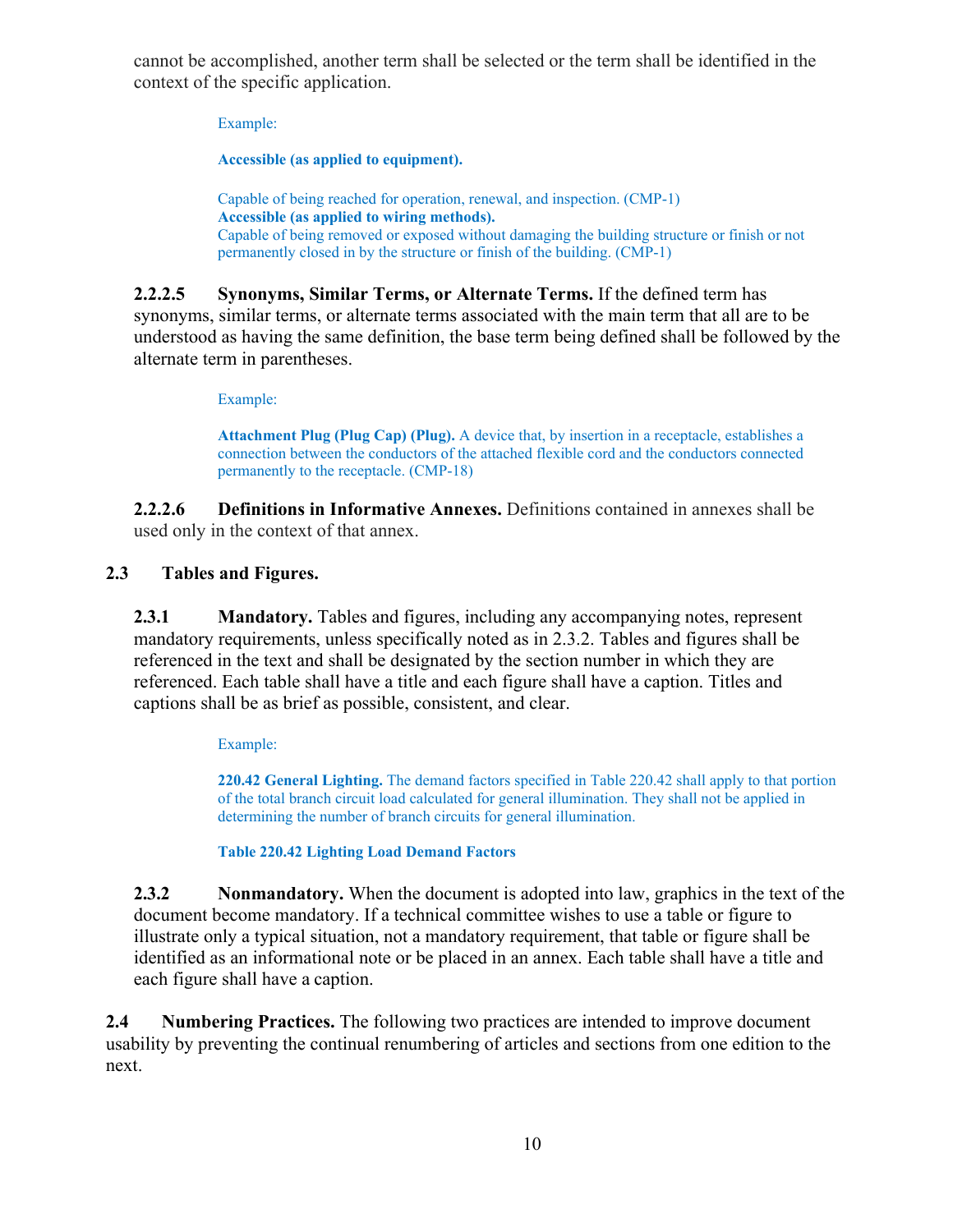cannot be accomplished, another term shall be selected or the term shall be identified in the context of the specific application.

Example:

**Accessible (as applied to equipment).** 

Capable of being reached for operation, renewal, and inspection. (CMP-1) **Accessible (as applied to wiring methods).** Capable of being removed or exposed without damaging the building structure or finish or not permanently closed in by the structure or finish of the building. (CMP-1)

**2.2.2.5 Synonyms, Similar Terms, or Alternate Terms.** If the defined term has synonyms, similar terms, or alternate terms associated with the main term that all are to be understood as having the same definition, the base term being defined shall be followed by the alternate term in parentheses.

Example:

**Attachment Plug (Plug Cap) (Plug).** A device that, by insertion in a receptacle, establishes a connection between the conductors of the attached flexible cord and the conductors connected permanently to the receptacle. (CMP-18)

**2.2.2.6 Definitions in Informative Annexes.** Definitions contained in annexes shall be used only in the context of that annex.

# **2.3 Tables and Figures.**

**2.3.1 Mandatory.** Tables and figures, including any accompanying notes, represent mandatory requirements, unless specifically noted as in 2.3.2. Tables and figures shall be referenced in the text and shall be designated by the section number in which they are referenced. Each table shall have a title and each figure shall have a caption. Titles and captions shall be as brief as possible, consistent, and clear.

Example:

**220.42 General Lighting.** The demand factors specified in Table 220.42 shall apply to that portion of the total branch circuit load calculated for general illumination. They shall not be applied in determining the number of branch circuits for general illumination.

**Table 220.42 Lighting Load Demand Factors**

**2.3.2 Nonmandatory.** When the document is adopted into law, graphics in the text of the document become mandatory. If a technical committee wishes to use a table or figure to illustrate only a typical situation, not a mandatory requirement, that table or figure shall be identified as an informational note or be placed in an annex. Each table shall have a title and each figure shall have a caption.

**2.4 Numbering Practices.** The following two practices are intended to improve document usability by preventing the continual renumbering of articles and sections from one edition to the next.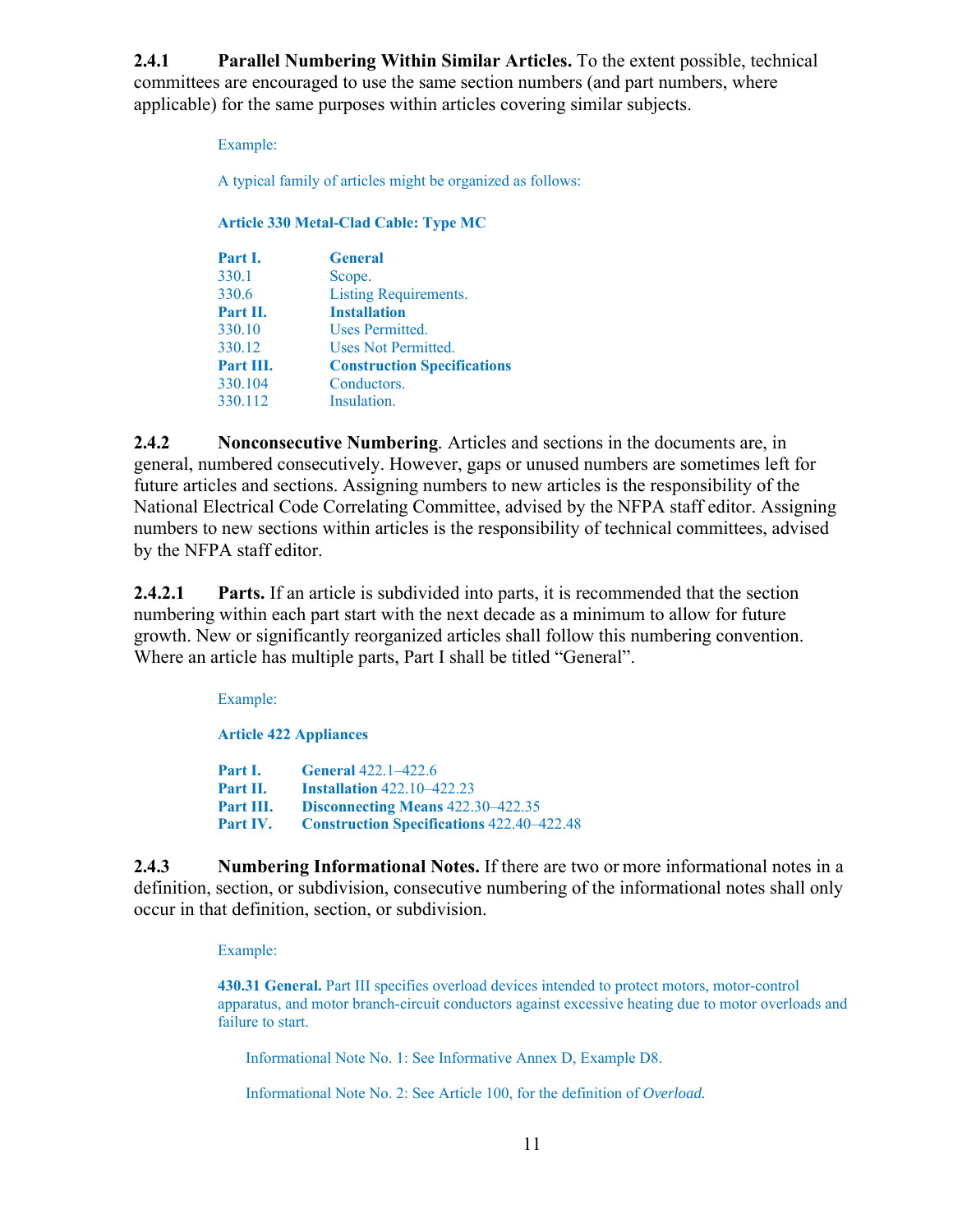**2.4.1 Parallel Numbering Within Similar Articles.** To the extent possible, technical committees are encouraged to use the same section numbers (and part numbers, where applicable) for the same purposes within articles covering similar subjects.

Example:

A typical family of articles might be organized as follows:

### **Article 330 Metal-Clad Cable: Type MC**

| Part I.   | <b>General</b>                     |
|-----------|------------------------------------|
| 330.1     | Scope.                             |
| 330.6     | Listing Requirements.              |
| Part II.  | <b>Installation</b>                |
| 330.10    | Uses Permitted.                    |
| 330.12    | Uses Not Permitted.                |
| Part III. | <b>Construction Specifications</b> |
| 330.104   | Conductors.                        |
| 330.112   | Insulation.                        |

**2.4.2 Nonconsecutive Numbering***.* Articles and sections in the documents are, in general, numbered consecutively. However, gaps or unused numbers are sometimes left for future articles and sections. Assigning numbers to new articles is the responsibility of the National Electrical Code Correlating Committee, advised by the NFPA staff editor. Assigning numbers to new sections within articles is the responsibility of technical committees, advised by the NFPA staff editor.

**2.4.2.1 Parts.** If an article is subdivided into parts, it is recommended that the section numbering within each part start with the next decade as a minimum to allow for future growth. New or significantly reorganized articles shall follow this numbering convention. Where an article has multiple parts, Part I shall be titled "General".

Example:

**Article 422 Appliances** 

**Part I. General** 422.1–422.6 **Part II. Installation** 422.10–422.23 **Part III. Disconnecting Means** 422.30–422.35 **Part IV. Construction Specifications** 422.40–422.48

**2.4.3 Numbering Informational Notes.** If there are two or more informational notes in a definition, section, or subdivision, consecutive numbering of the informational notes shall only occur in that definition, section, or subdivision.

Example:

**430.31 General.** Part III specifies overload devices intended to protect motors, motor-control apparatus, and motor branch-circuit conductors against excessive heating due to motor overloads and failure to start.

Informational Note No. 1: See Informative Annex D, Example D8.

Informational Note No. 2: See Article 100, for the definition of *Overload.*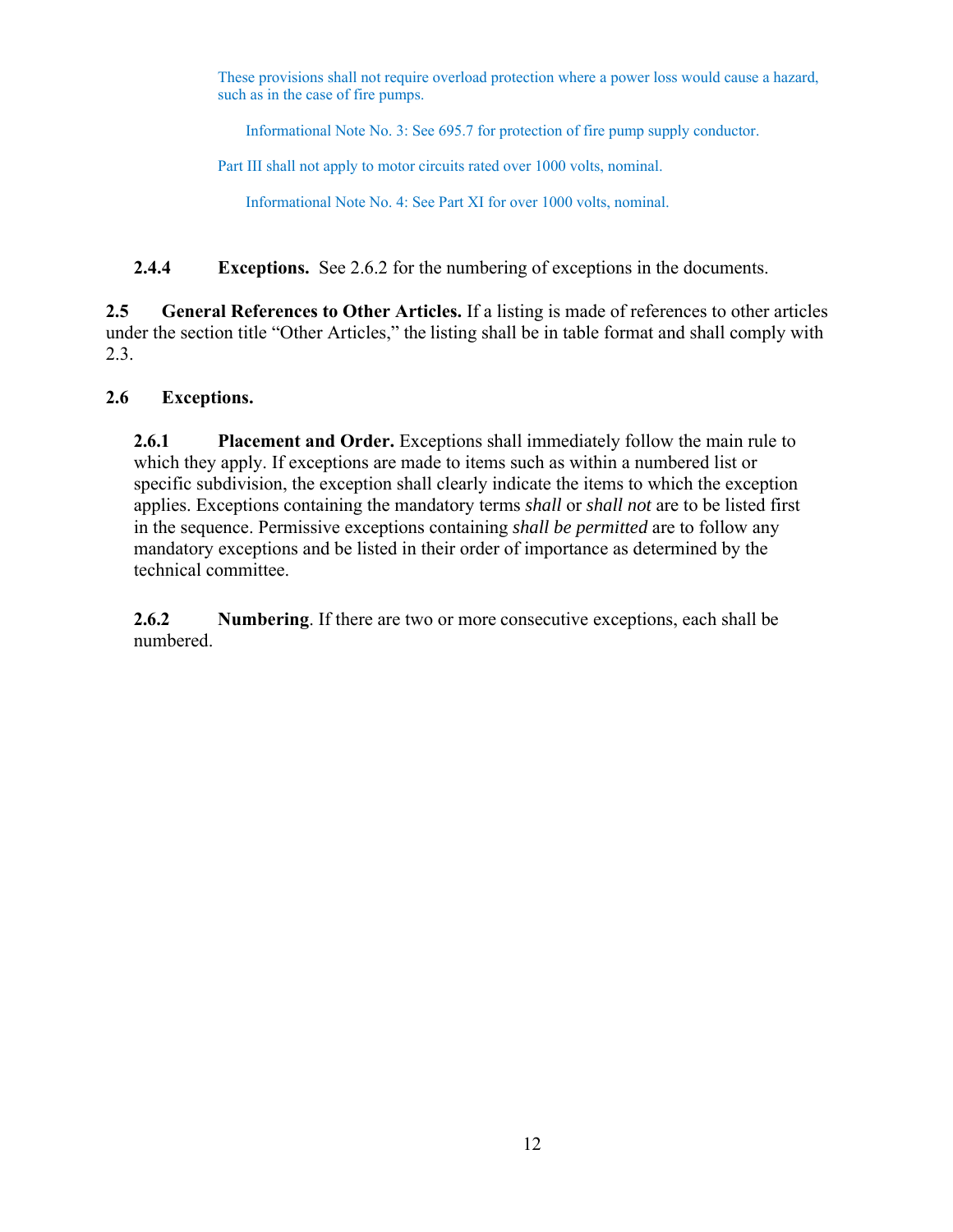These provisions shall not require overload protection where a power loss would cause a hazard, such as in the case of fire pumps.

Informational Note No. 3: See 695.7 for protection of fire pump supply conductor.

Part III shall not apply to motor circuits rated over 1000 volts, nominal.

Informational Note No. 4: See Part XI for over 1000 volts, nominal.

**2.4.4 Exceptions.** See 2.6.2 for the numbering of exceptions in the documents.

**2.5 General References to Other Articles.** If a listing is made of references to other articles under the section title "Other Articles," the listing shall be in table format and shall comply with 2.3.

# **2.6 Exceptions.**

**2.6.1 Placement and Order.** Exceptions shall immediately follow the main rule to which they apply. If exceptions are made to items such as within a numbered list or specific subdivision, the exception shall clearly indicate the items to which the exception applies. Exceptions containing the mandatory terms *shall* or *shall not* are to be listed first in the sequence. Permissive exceptions containing *shall be permitted* are to follow any mandatory exceptions and be listed in their order of importance as determined by the technical committee.

**2.6.2 Numbering**. If there are two or more consecutive exceptions, each shall be numbered.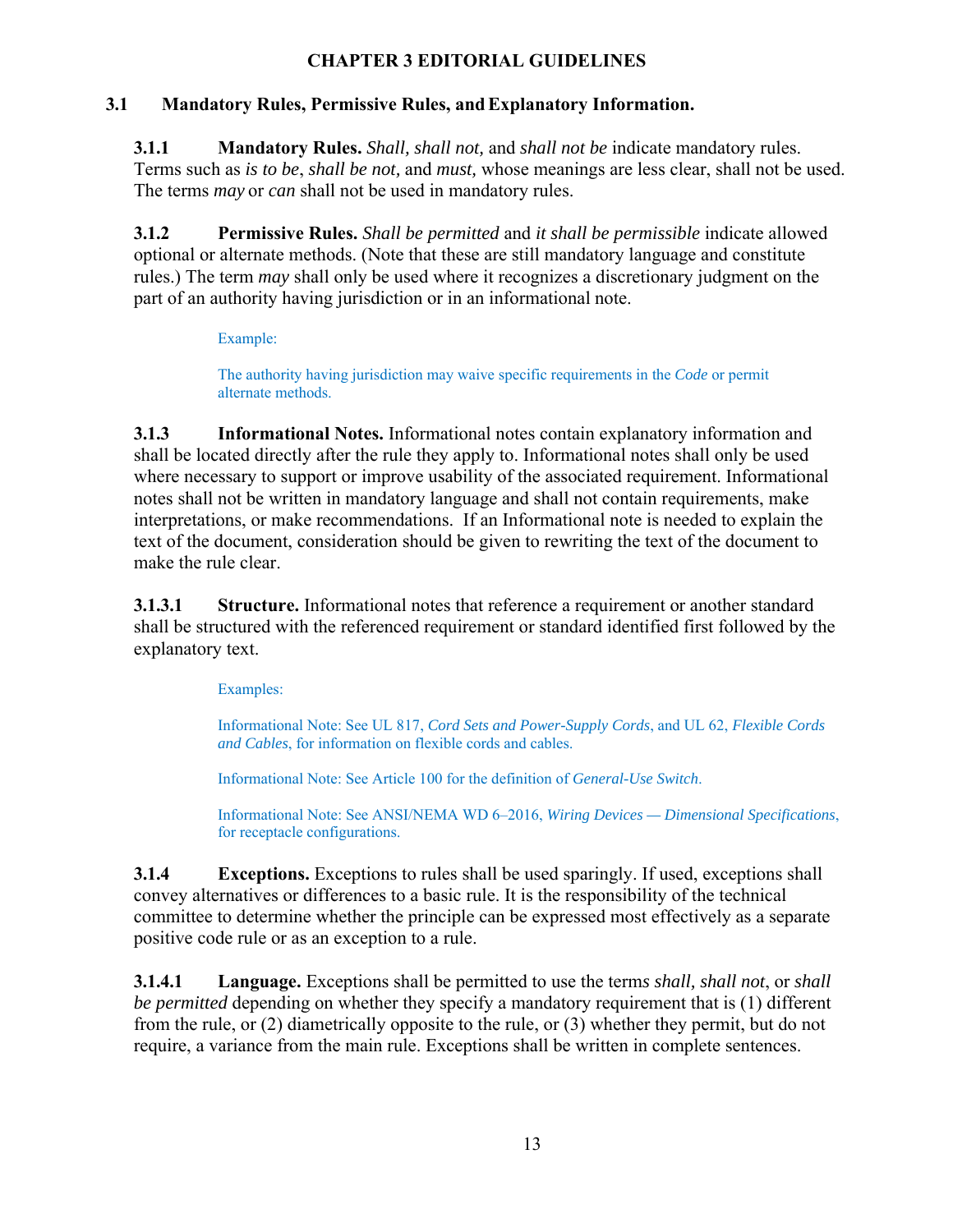# **CHAPTER 3 EDITORIAL GUIDELINES**

# **3.1 Mandatory Rules, Permissive Rules, and Explanatory Information.**

**3.1.1 Mandatory Rules.** *Shall, shall not,* and *shall not be* indicate mandatory rules. Terms such as *is to be*, *shall be not,* and *must,* whose meanings are less clear, shall not be used. The terms *may* or *can* shall not be used in mandatory rules.

**3.1.2 Permissive Rules.** *Shall be permitted* and *it shall be permissible* indicate allowed optional or alternate methods. (Note that these are still mandatory language and constitute rules.) The term *may* shall only be used where it recognizes a discretionary judgment on the part of an authority having jurisdiction or in an informational note.

# Example:

The authority having jurisdiction may waive specific requirements in the *Code* or permit alternate methods.

**3.1.3 Informational Notes.** Informational notes contain explanatory information and shall be located directly after the rule they apply to. Informational notes shall only be used where necessary to support or improve usability of the associated requirement. Informational notes shall not be written in mandatory language and shall not contain requirements, make interpretations, or make recommendations. If an Informational note is needed to explain the text of the document, consideration should be given to rewriting the text of the document to make the rule clear.

**3.1.3.1 Structure.** Informational notes that reference a requirement or another standard shall be structured with the referenced requirement or standard identified first followed by the explanatory text.

# Examples:

Informational Note: See UL 817, *Cord Sets and Power-Supply Cords*, and UL 62, *Flexible Cords and Cables*, for information on flexible cords and cables.

Informational Note: See Article 100 for the definition of *General-Use Switch*.

Informational Note: See ANSI/NEMA WD 6–2016, *Wiring Devices — Dimensional Specifications*, for receptacle configurations.

**3.1.4 Exceptions.** Exceptions to rules shall be used sparingly. If used, exceptions shall convey alternatives or differences to a basic rule. It is the responsibility of the technical committee to determine whether the principle can be expressed most effectively as a separate positive code rule or as an exception to a rule.

**3.1.4.1 Language.** Exceptions shall be permitted to use the term*s shall, shall not*, or *shall be permitted* depending on whether they specify a mandatory requirement that is (1) different from the rule, or (2) diametrically opposite to the rule, or (3) whether they permit, but do not require, a variance from the main rule. Exceptions shall be written in complete sentences.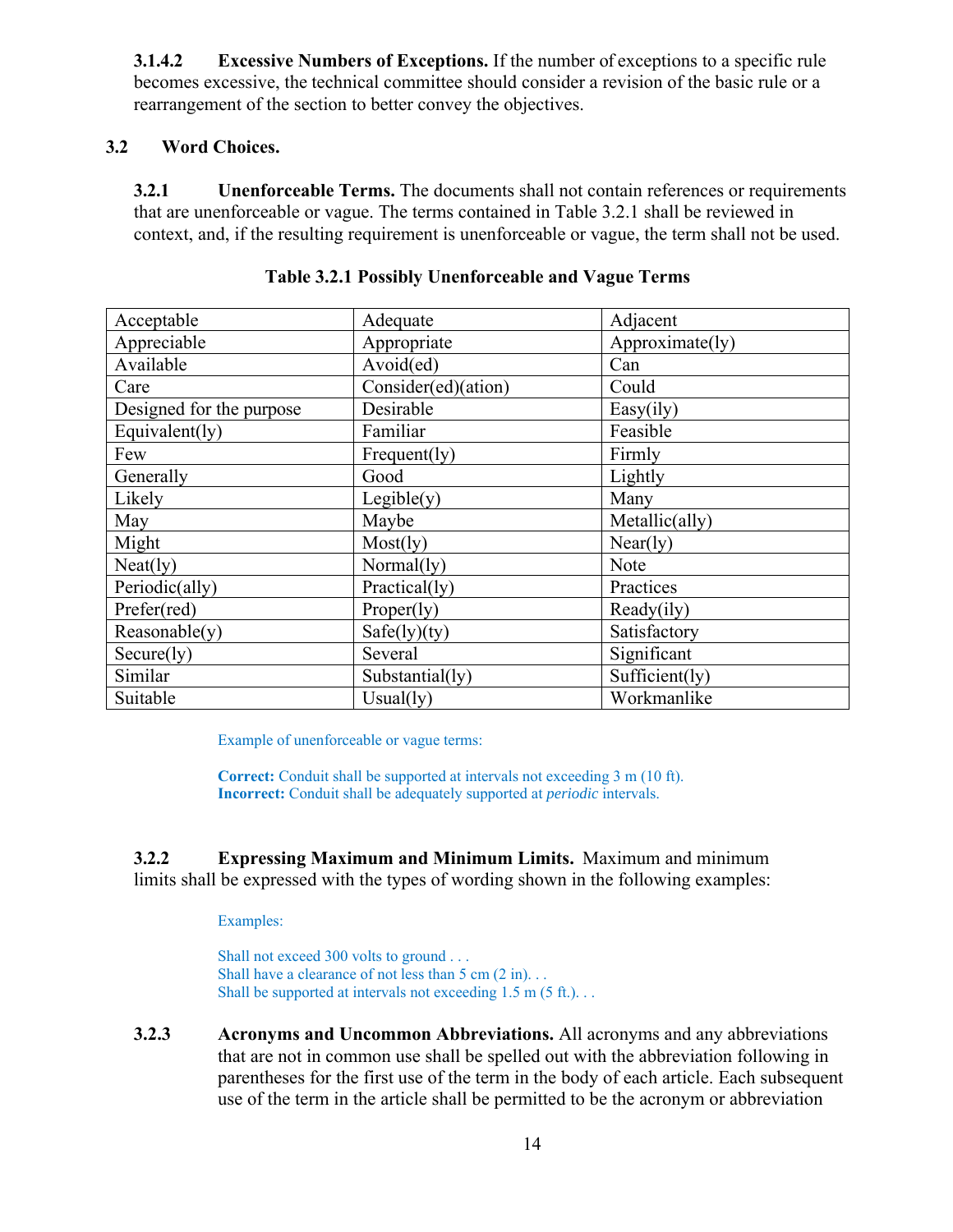**3.1.4.2 Excessive Numbers of Exceptions.** If the number of exceptions to a specific rule becomes excessive, the technical committee should consider a revision of the basic rule or a rearrangement of the section to better convey the objectives.

# **3.2 Word Choices.**

**3.2.1 Unenforceable Terms.** The documents shall not contain references or requirements that are unenforceable or vague. The terms contained in Table 3.2.1 shall be reviewed in context, and, if the resulting requirement is unenforceable or vague, the term shall not be used.

| Acceptable               | Adequate            | Adjacent        |
|--------------------------|---------------------|-----------------|
| Appreciable              | Appropriate         | Approximate(ly) |
| Available                | Avoid(ed)           | Can             |
| Care                     | Consider(ed)(ation) | Could           |
| Designed for the purpose | Desirable           | Easy(ily)       |
| Equivalent(ly)           | Familiar            | Feasible        |
| Few                      | Frequent(ly)        | Firmly          |
| Generally                | Good                | Lightly         |
| Likely                   | Legible(y)          | Many            |
| May                      | Maybe               | Metallic(ally)  |
| Might                    | Most(ly)            | Near(ly)        |
| Neat(1y)                 | Normal(ly)          | Note            |
| Periodic(ally)           | Practical(ly)       | Practices       |
| Prefer(red)              | Property)           | Ready(ily)      |
| Reasonable(y)            | Safe(ly)(ty)        | Satisfactory    |
| Secure(1y)               | Several             | Significant     |
| Similar                  | Substantial(ly)     | Sufficient(ly)  |
| Suitable                 | Usual(ly)           | Workmanlike     |

|  | Table 3.2.1 Possibly Unenforceable and Vague Terms |  |
|--|----------------------------------------------------|--|
|  |                                                    |  |

Example of unenforceable or vague terms:

**Correct:** Conduit shall be supported at intervals not exceeding 3 m (10 ft). **Incorrect:** Conduit shall be adequately supported at *periodic* intervals.

**3.2.2 Expressing Maximum and Minimum Limits.** Maximum and minimum limits shall be expressed with the types of wording shown in the following examples:

# Examples:

Shall not exceed 300 volts to ground . . . Shall have a clearance of not less than  $5 \text{ cm } (2 \text{ in})$ ... Shall be supported at intervals not exceeding 1.5 m (5 ft.)...

 **3.2.3 Acronyms and Uncommon Abbreviations.** All acronyms and any abbreviations that are not in common use shall be spelled out with the abbreviation following in parentheses for the first use of the term in the body of each article. Each subsequent use of the term in the article shall be permitted to be the acronym or abbreviation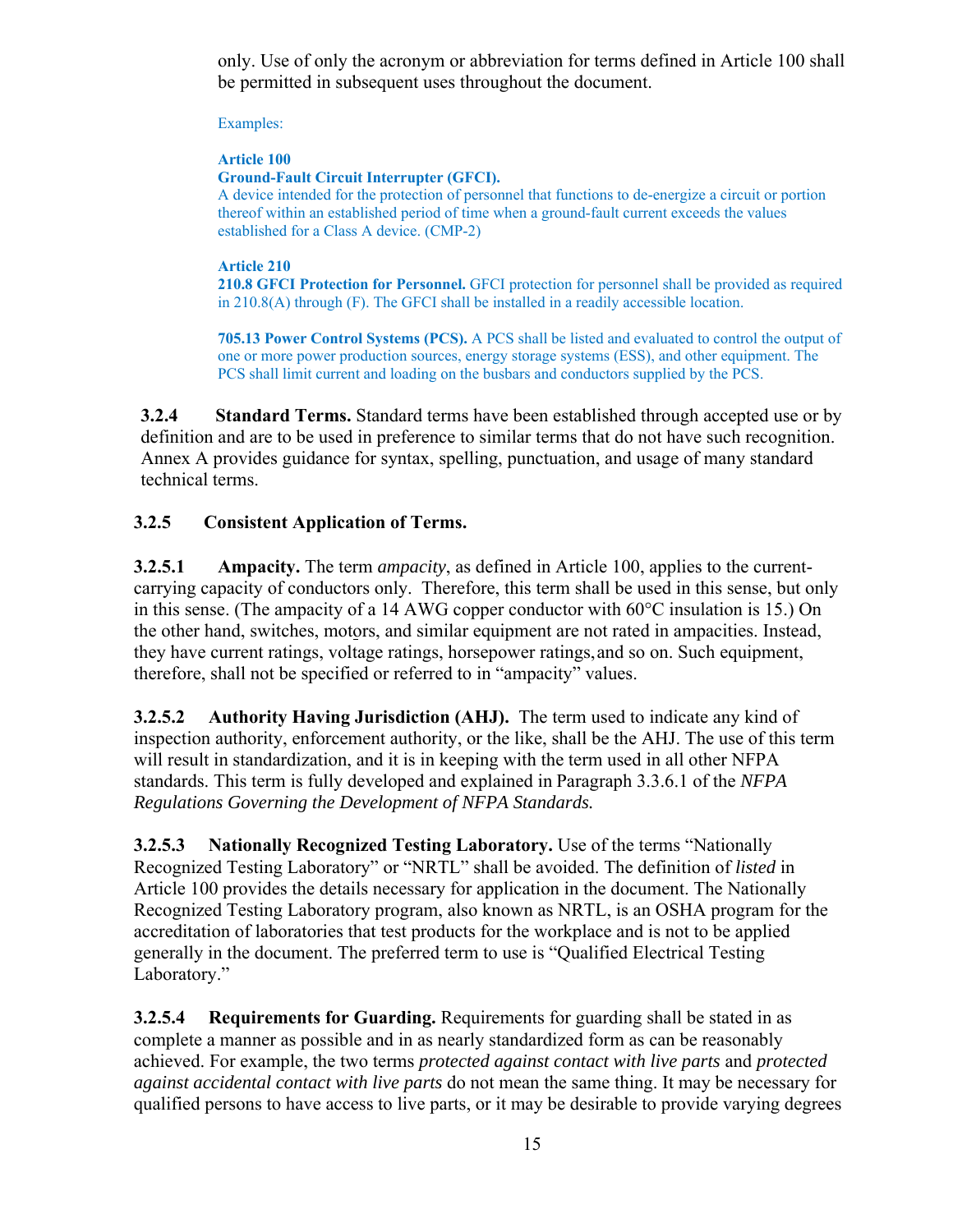only. Use of only the acronym or abbreviation for terms defined in Article 100 shall be permitted in subsequent uses throughout the document.

Examples:

# **Article 100**

**Ground-Fault Circuit Interrupter (GFCI).** 

A device intended for the protection of personnel that functions to de-energize a circuit or portion thereof within an established period of time when a ground-fault current exceeds the values established for a Class A device. (CMP-2)

# **Article 210**

**210.8 GFCI Protection for Personnel.** GFCI protection for personnel shall be provided as required in 210.8(A) through (F). The GFCI shall be installed in a readily accessible location.

**705.13 Power Control Systems (PCS).** A PCS shall be listed and evaluated to control the output of one or more power production sources, energy storage systems (ESS), and other equipment. The PCS shall limit current and loading on the busbars and conductors supplied by the PCS.

**3.2.4 Standard Terms.** Standard terms have been established through accepted use or by definition and are to be used in preference to similar terms that do not have such recognition. Annex A provides guidance for syntax, spelling, punctuation, and usage of many standard technical terms.

# **3.2.5 Consistent Application of Terms.**

**3.2.5.1 Ampacity.** The term *ampacity*, as defined in Article 100, applies to the currentcarrying capacity of conductors only. Therefore, this term shall be used in this sense, but only in this sense. (The ampacity of a 14 AWG copper conductor with 60°C insulation is 15.) On the other hand, switches, motors, and similar equipment are not rated in ampacities. Instead, they have current ratings, voltage ratings, horsepower ratings, and so on. Such equipment, therefore, shall not be specified or referred to in "ampacity" values.

**3.2.5.2 Authority Having Jurisdiction (AHJ).** The term used to indicate any kind of inspection authority, enforcement authority, or the like, shall be the AHJ. The use of this term will result in standardization, and it is in keeping with the term used in all other NFPA standards. This term is fully developed and explained in Paragraph 3.3.6.1 of the *NFPA Regulations Governing the Development of NFPA Standards.*

**3.2.5.3 Nationally Recognized Testing Laboratory.** Use of the terms "Nationally Recognized Testing Laboratory" or "NRTL" shall be avoided. The definition of *listed* in Article 100 provides the details necessary for application in the document. The Nationally Recognized Testing Laboratory program, also known as NRTL, is an OSHA program for the accreditation of laboratories that test products for the workplace and is not to be applied generally in the document. The preferred term to use is "Qualified Electrical Testing Laboratory."

**3.2.5.4 Requirements for Guarding.** Requirements for guarding shall be stated in as complete a manner as possible and in as nearly standardized form as can be reasonably achieved. For example, the two terms *protected against contact with live parts* and *protected against accidental contact with live parts* do not mean the same thing. It may be necessary for qualified persons to have access to live parts, or it may be desirable to provide varying degrees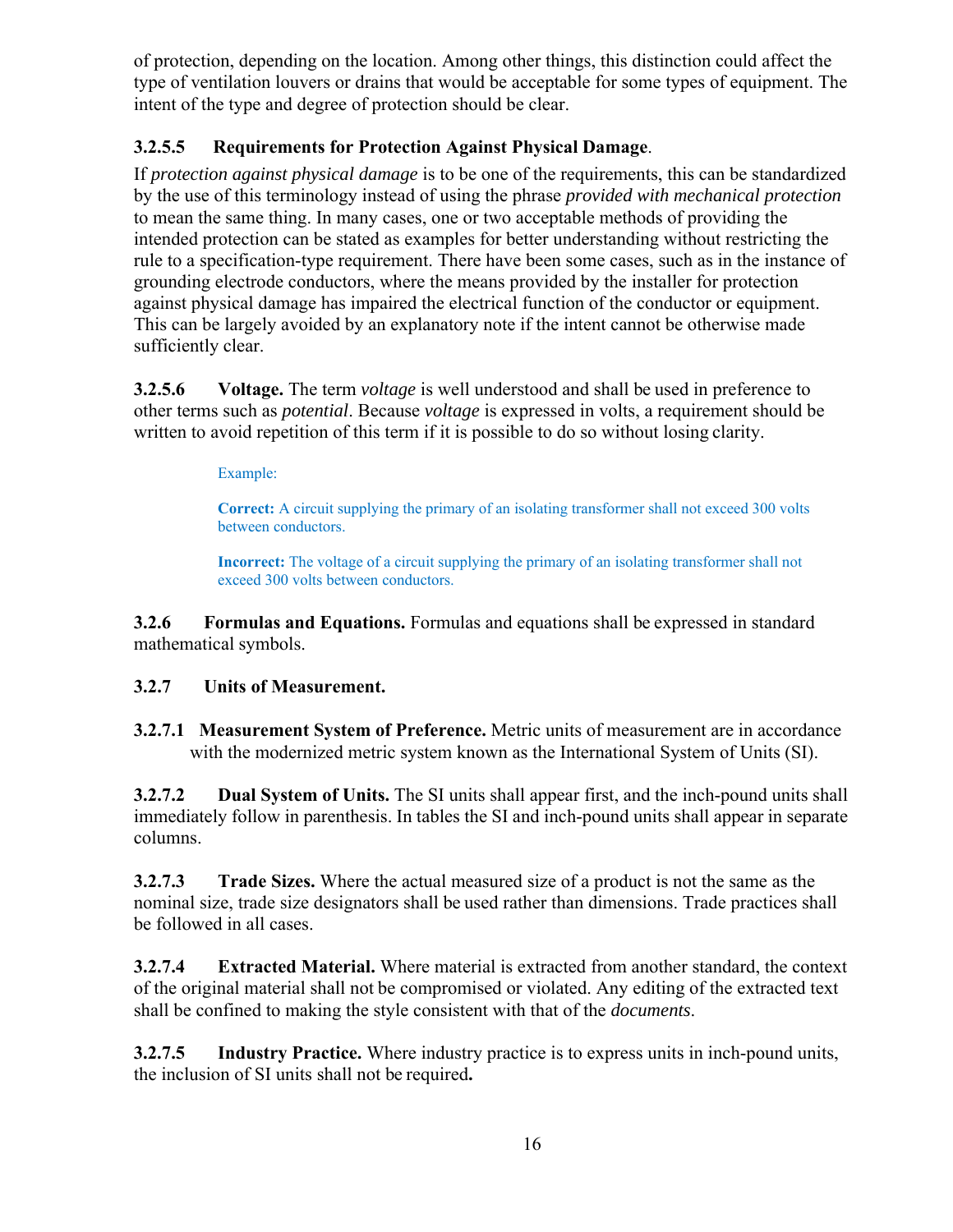of protection, depending on the location. Among other things, this distinction could affect the type of ventilation louvers or drains that would be acceptable for some types of equipment. The intent of the type and degree of protection should be clear.

# **3.2.5.5 Requirements for Protection Against Physical Damage**.

If *protection against physical damage* is to be one of the requirements, this can be standardized by the use of this terminology instead of using the phrase *provided with mechanical protection*  to mean the same thing. In many cases, one or two acceptable methods of providing the intended protection can be stated as examples for better understanding without restricting the rule to a specification-type requirement. There have been some cases, such as in the instance of grounding electrode conductors, where the means provided by the installer for protection against physical damage has impaired the electrical function of the conductor or equipment. This can be largely avoided by an explanatory note if the intent cannot be otherwise made sufficiently clear.

**3.2.5.6 Voltage.** The term *voltage* is well understood and shall be used in preference to other terms such as *potential*. Because *voltage* is expressed in volts, a requirement should be written to avoid repetition of this term if it is possible to do so without losing clarity.

Example:

**Correct:** A circuit supplying the primary of an isolating transformer shall not exceed 300 volts between conductors.

**Incorrect:** The voltage of a circuit supplying the primary of an isolating transformer shall not exceed 300 volts between conductors.

**3.2.6 Formulas and Equations.** Formulas and equations shall be expressed in standard mathematical symbols.

# **3.2.7 Units of Measurement.**

**3.2.7.1 Measurement System of Preference.** Metric units of measurement are in accordance with the modernized metric system known as the International System of Units (SI).

**3.2.7.2 Dual System of Units.** The SI units shall appear first, and the inch-pound units shall immediately follow in parenthesis. In tables the SI and inch-pound units shall appear in separate columns.

**3.2.7.3 Trade Sizes.** Where the actual measured size of a product is not the same as the nominal size, trade size designators shall be used rather than dimensions. Trade practices shall be followed in all cases.

**3.2.7.4 Extracted Material.** Where material is extracted from another standard, the context of the original material shall not be compromised or violated. Any editing of the extracted text shall be confined to making the style consistent with that of the *documents*.

**3.2.7.5 Industry Practice.** Where industry practice is to express units in inch-pound units, the inclusion of SI units shall not be required**.**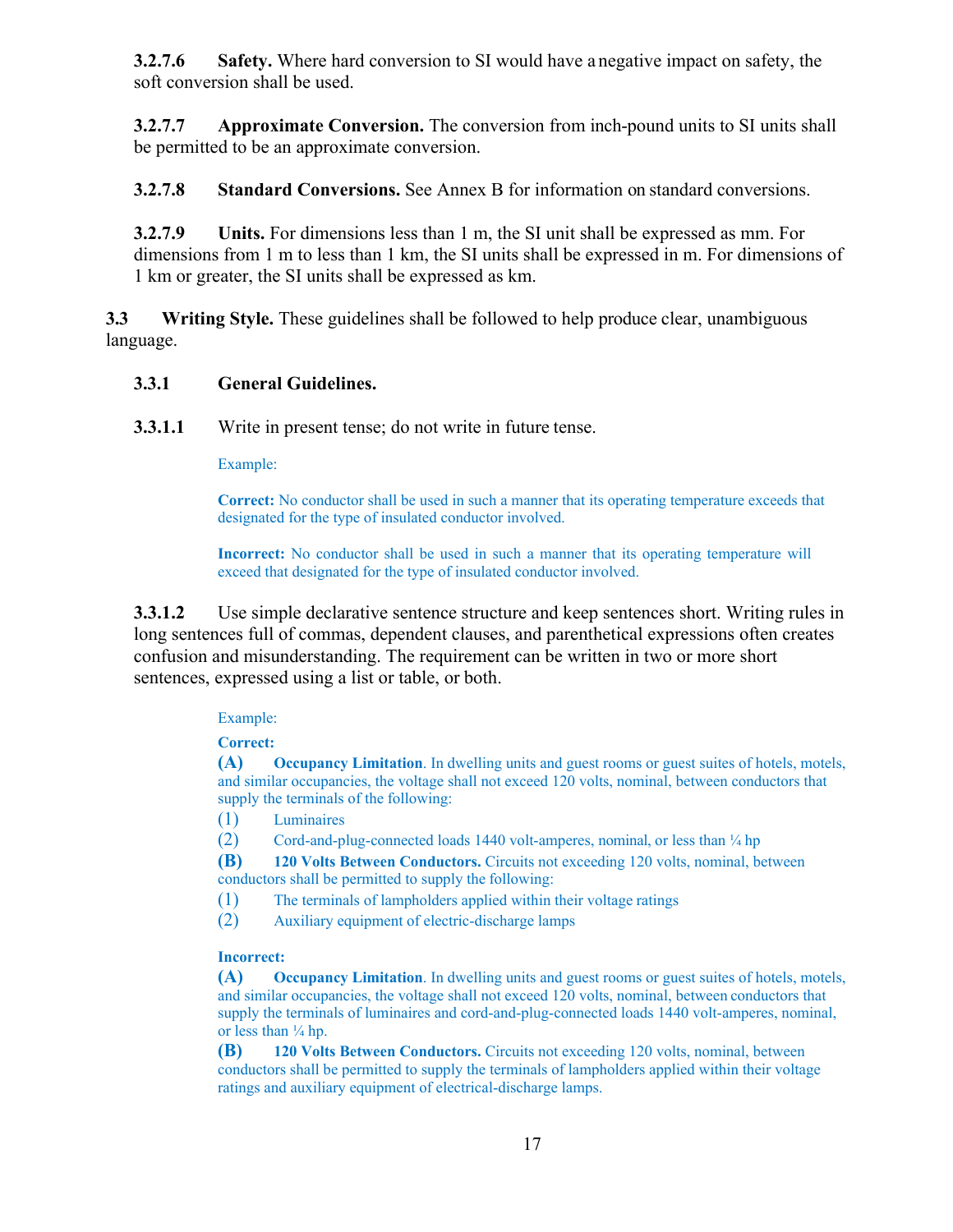**3.2.7.6 Safety.** Where hard conversion to SI would have a negative impact on safety, the soft conversion shall be used.

**3.2.7.7 Approximate Conversion.** The conversion from inch-pound units to SI units shall be permitted to be an approximate conversion.

**3.2.7.8 Standard Conversions.** See Annex B for information on standard conversions.

**3.2.7.9 Units.** For dimensions less than 1 m, the SI unit shall be expressed as mm. For dimensions from 1 m to less than 1 km, the SI units shall be expressed in m. For dimensions of 1 km or greater, the SI units shall be expressed as km.

**3.3 Writing Style.** These guidelines shall be followed to help produce clear, unambiguous language.

# **3.3.1 General Guidelines.**

**3.3.1.1** Write in present tense; do not write in future tense.

Example:

**Correct:** No conductor shall be used in such a manner that its operating temperature exceeds that designated for the type of insulated conductor involved.

**Incorrect:** No conductor shall be used in such a manner that its operating temperature will exceed that designated for the type of insulated conductor involved.

**3.3.1.2** Use simple declarative sentence structure and keep sentences short. Writing rules in long sentences full of commas, dependent clauses, and parenthetical expressions often creates confusion and misunderstanding. The requirement can be written in two or more short sentences, expressed using a list or table, or both.

# Example:

**Correct:** 

**(A) Occupancy Limitation**. In dwelling units and guest rooms or guest suites of hotels, motels, and similar occupancies, the voltage shall not exceed 120 volts, nominal, between conductors that supply the terminals of the following:

(1) Luminaires

(2) Cord-and-plug-connected loads 1440 volt-amperes, nominal, or less than ¼ hp

**(B) 120 Volts Between Conductors.** Circuits not exceeding 120 volts, nominal, between conductors shall be permitted to supply the following:

- (1) The terminals of lampholders applied within their voltage ratings
- (2) Auxiliary equipment of electric-discharge lamps

### **Incorrect:**

**(A) Occupancy Limitation**. In dwelling units and guest rooms or guest suites of hotels, motels, and similar occupancies, the voltage shall not exceed 120 volts, nominal, between conductors that supply the terminals of luminaires and cord-and-plug-connected loads 1440 volt-amperes, nominal, or less than  $\frac{1}{4}$  hp.

**(B) 120 Volts Between Conductors.** Circuits not exceeding 120 volts, nominal, between conductors shall be permitted to supply the terminals of lampholders applied within their voltage ratings and auxiliary equipment of electrical-discharge lamps.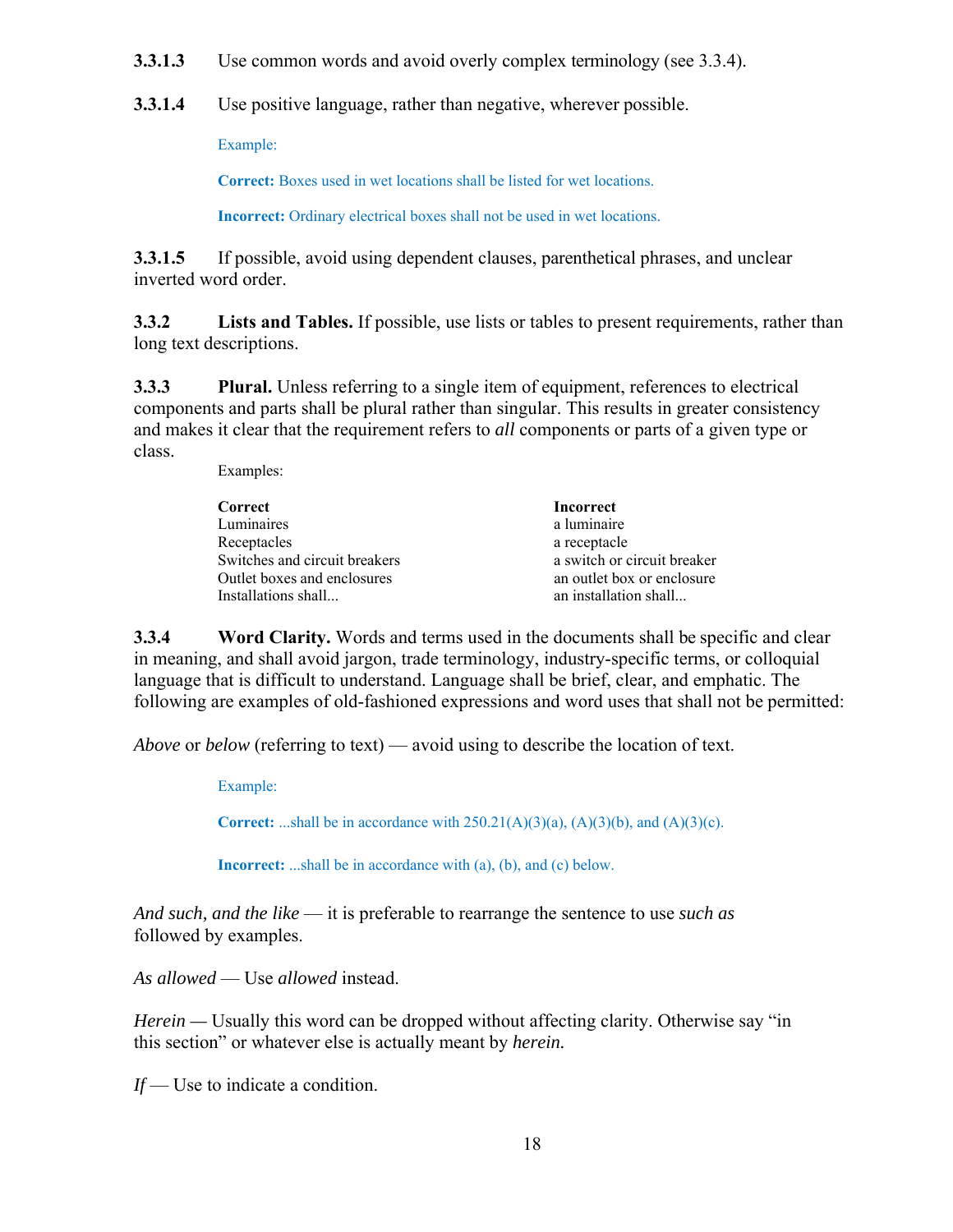**3.3.1.3** Use common words and avoid overly complex terminology (see 3.3.4).

**3.3.1.4** Use positive language, rather than negative, wherever possible.

Example:

**Correct:** Boxes used in wet locations shall be listed for wet locations.

**Incorrect:** Ordinary electrical boxes shall not be used in wet locations.

**3.3.1.5** If possible, avoid using dependent clauses, parenthetical phrases, and unclear inverted word order.

**3.3.2 Lists and Tables.** If possible, use lists or tables to present requirements, rather than long text descriptions.

**3.3.3 Plural.** Unless referring to a single item of equipment, references to electrical components and parts shall be plural rather than singular. This results in greater consistency and makes it clear that the requirement refers to *all* components or parts of a given type or class.

Examples:

| Correct                       | Incorrect                   |
|-------------------------------|-----------------------------|
| Luminaires                    | a luminaire                 |
| Receptacles                   | a receptacle                |
| Switches and circuit breakers | a switch or circuit breaker |
| Outlet boxes and enclosures   | an outlet box or enclosure  |
| Installations shall           | an installation shall       |
|                               |                             |

**3.3.4 Word Clarity.** Words and terms used in the documents shall be specific and clear in meaning, and shall avoid jargon, trade terminology, industry-specific terms, or colloquial language that is difficult to understand. Language shall be brief, clear, and emphatic. The following are examples of old-fashioned expressions and word uses that shall not be permitted:

*Above* or *below* (referring to text) — avoid using to describe the location of text.

Example:

**Correct:** ...shall be in accordance with  $250.21(A)(3)(a)$ ,  $(A)(3)(b)$ , and  $(A)(3)(c)$ .

**Incorrect:** ...shall be in accordance with (a), (b), and (c) below.

*And such, and the like* — it is preferable to rearrange the sentence to use *such as*  followed by examples.

*As allowed* — Use *allowed* instead.

*Herein* — Usually this word can be dropped without affecting clarity. Otherwise say "in this section" or whatever else is actually meant by *herein.* 

*If* — Use to indicate a condition.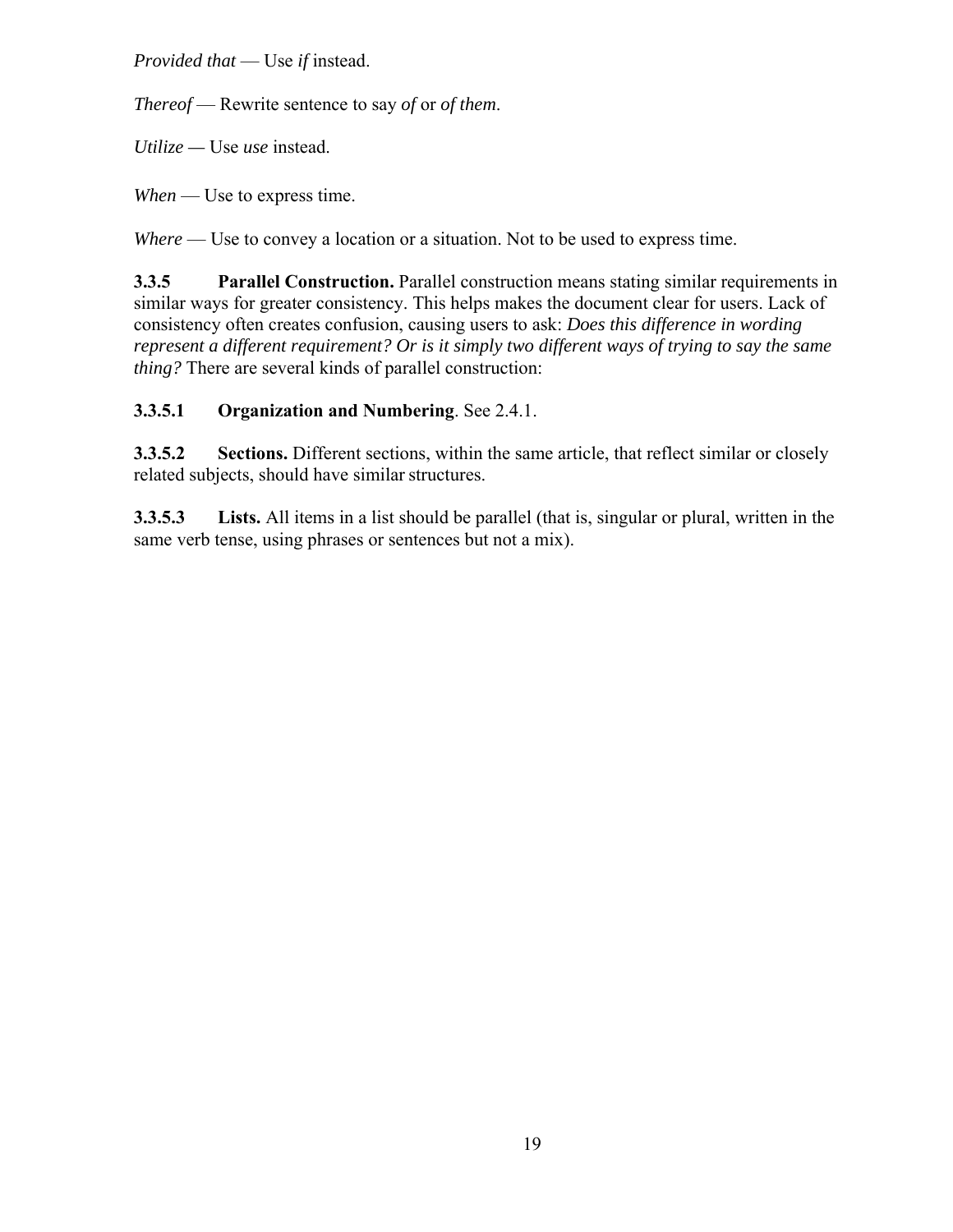*Provided that* — Use *if* instead.

*Thereof* — Rewrite sentence to say *of* or *of them*.

*Utilize —* Use *use* instead.

*When* — Use to express time.

*Where* — Use to convey a location or a situation. Not to be used to express time.

**3.3.5 Parallel Construction.** Parallel construction means stating similar requirements in similar ways for greater consistency. This helps makes the document clear for users. Lack of consistency often creates confusion, causing users to ask: *Does this difference in wording represent a different requirement? Or is it simply two different ways of trying to say the same thing?* There are several kinds of parallel construction:

# **3.3.5.1 Organization and Numbering**. See 2.4.1.

**3.3.5.2 Sections.** Different sections, within the same article, that reflect similar or closely related subjects, should have similar structures.

**3.3.5.3 Lists.** All items in a list should be parallel (that is, singular or plural, written in the same verb tense, using phrases or sentences but not a mix).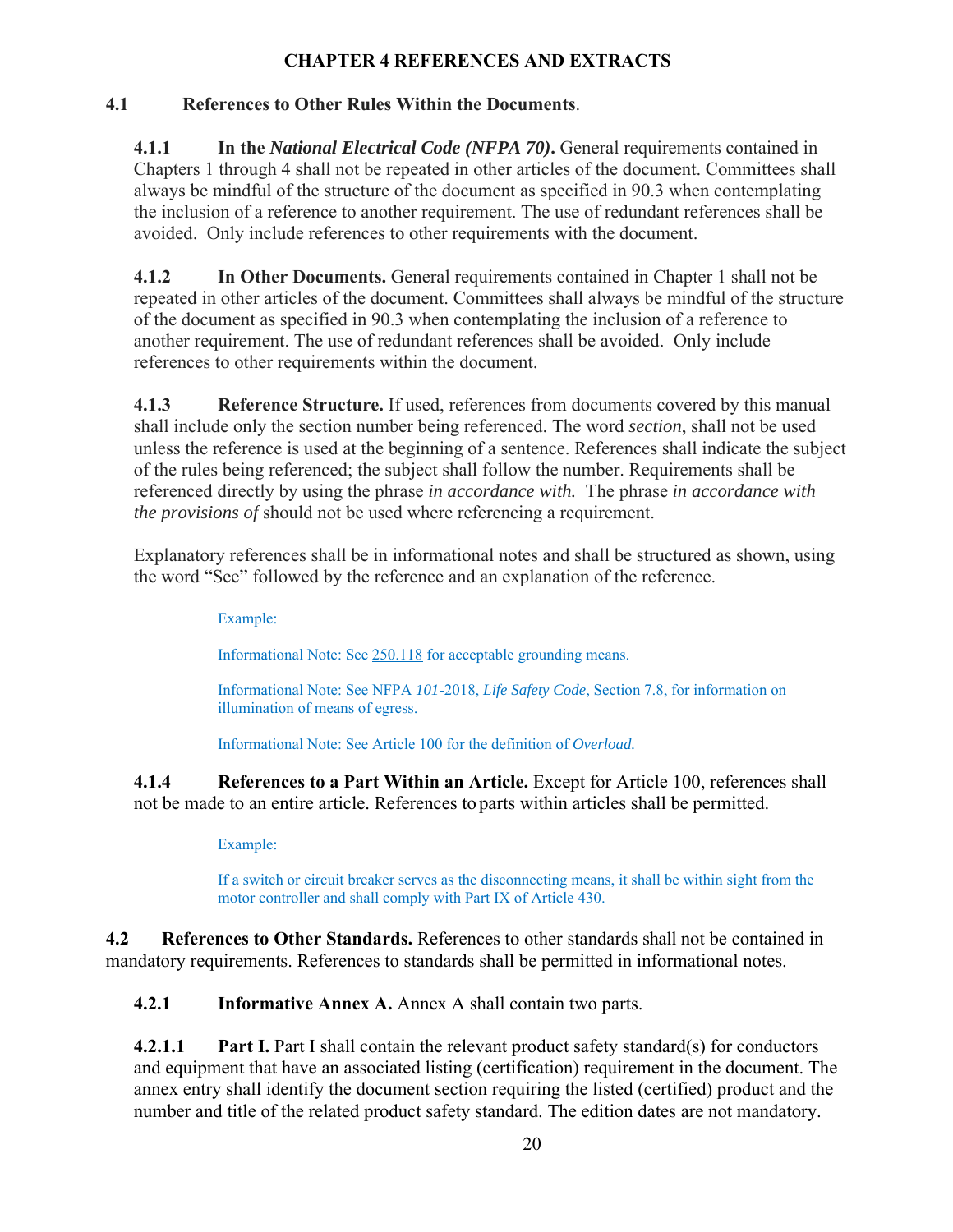# **CHAPTER 4 REFERENCES AND EXTRACTS**

# **4.1 References to Other Rules Within the Documents**.

**4.1.1 In the** *National Electrical Code (NFPA 70)***.** General requirements contained in Chapters 1 through 4 shall not be repeated in other articles of the document. Committees shall always be mindful of the structure of the document as specified in 90.3 when contemplating the inclusion of a reference to another requirement. The use of redundant references shall be avoided. Only include references to other requirements with the document.

**4.1.2 In Other Documents.** General requirements contained in Chapter 1 shall not be repeated in other articles of the document. Committees shall always be mindful of the structure of the document as specified in 90.3 when contemplating the inclusion of a reference to another requirement. The use of redundant references shall be avoided. Only include references to other requirements within the document.

**4.1.3 Reference Structure.** If used, references from documents covered by this manual shall include only the section number being referenced. The word *section*, shall not be used unless the reference is used at the beginning of a sentence. References shall indicate the subject of the rules being referenced; the subject shall follow the number. Requirements shall be referenced directly by using the phrase *in accordance with.* The phrase *in accordance with the provisions of* should not be used where referencing a requirement.

Explanatory references shall be in informational notes and shall be structured as shown, using the word "See" followed by the reference and an explanation of the reference.

Example:

Informational Note: See 250.118 for acceptable grounding means.

Informational Note: See NFPA *101*-2018, *Life Safety Code*, Section 7.8, for information on illumination of means of egress.

Informational Note: See Article 100 for the definition of *Overload.*

**4.1.4 References to a Part Within an Article.** Except for Article 100, references shall not be made to an entire article. References to parts within articles shall be permitted.

Example:

If a switch or circuit breaker serves as the disconnecting means, it shall be within sight from the motor controller and shall comply with Part IX of Article 430.

**4.2 References to Other Standards.** References to other standards shall not be contained in mandatory requirements. References to standards shall be permitted in informational notes.

**4.2.1 Informative Annex A.** Annex A shall contain two parts.

**4.2.1.1** Part I. Part I shall contain the relevant product safety standard(s) for conductors and equipment that have an associated listing (certification) requirement in the document. The annex entry shall identify the document section requiring the listed (certified) product and the number and title of the related product safety standard. The edition dates are not mandatory.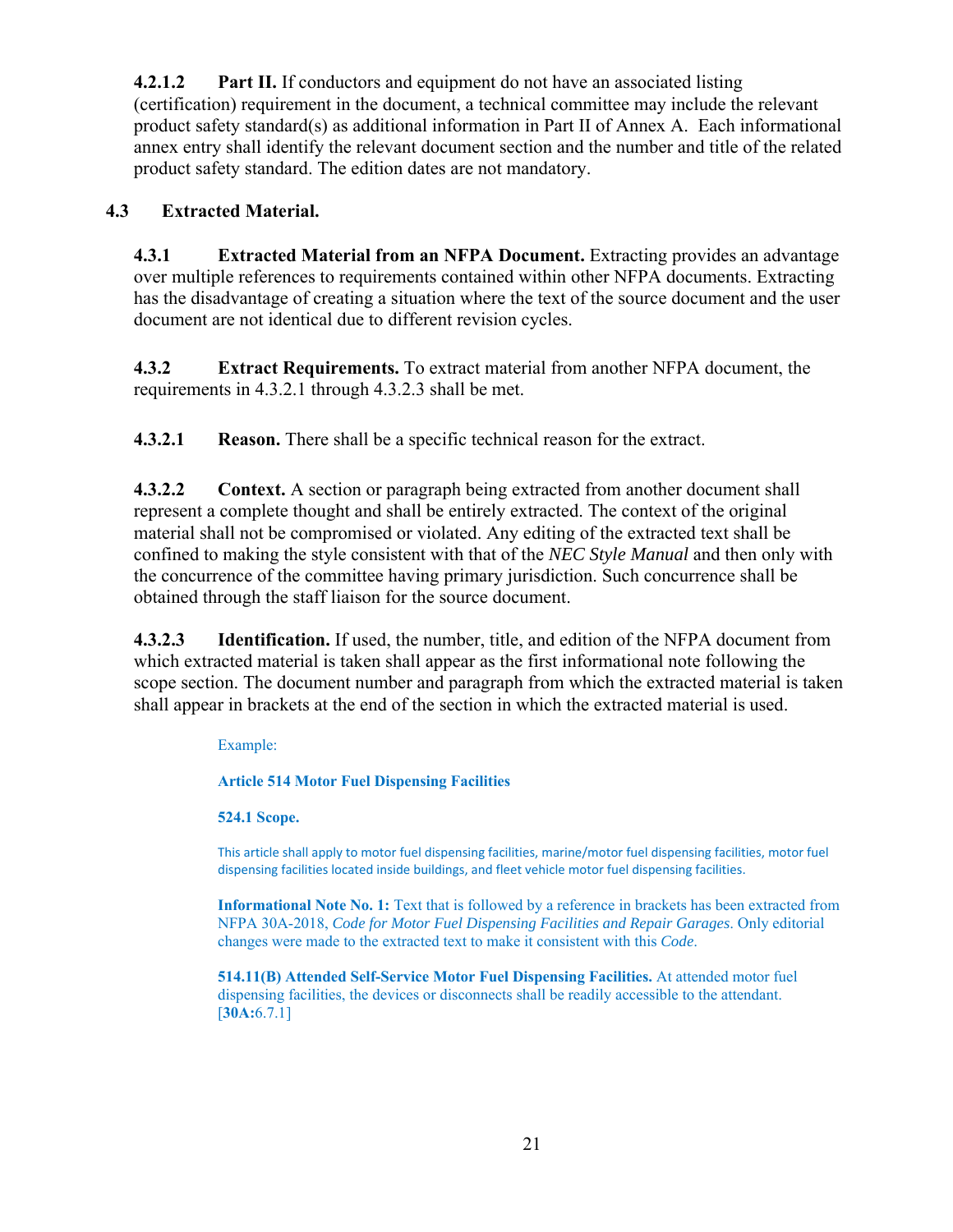**4.2.1.2 Part II.** If conductors and equipment do not have an associated listing (certification) requirement in the document, a technical committee may include the relevant product safety standard(s) as additional information in Part II of Annex A. Each informational annex entry shall identify the relevant document section and the number and title of the related product safety standard. The edition dates are not mandatory.

# **4.3 Extracted Material.**

**4.3.1 Extracted Material from an NFPA Document.** Extracting provides an advantage over multiple references to requirements contained within other NFPA documents. Extracting has the disadvantage of creating a situation where the text of the source document and the user document are not identical due to different revision cycles.

**4.3.2 Extract Requirements.** To extract material from another NFPA document, the requirements in 4.3.2.1 through 4.3.2.3 shall be met.

**4.3.2.1 Reason.** There shall be a specific technical reason for the extract.

**4.3.2.2 Context.** A section or paragraph being extracted from another document shall represent a complete thought and shall be entirely extracted. The context of the original material shall not be compromised or violated. Any editing of the extracted text shall be confined to making the style consistent with that of the *NEC Style Manual* and then only with the concurrence of the committee having primary jurisdiction. Such concurrence shall be obtained through the staff liaison for the source document.

**4.3.2.3 Identification.** If used, the number, title, and edition of the NFPA document from which extracted material is taken shall appear as the first informational note following the scope section. The document number and paragraph from which the extracted material is taken shall appear in brackets at the end of the section in which the extracted material is used.

# Example:

**Article 514 Motor Fuel Dispensing Facilities** 

# **524.1 Scope.**

This article shall apply to motor fuel dispensing facilities, marine/motor fuel dispensing facilities, motor fuel dispensing facilities located inside buildings, and fleet vehicle motor fuel dispensing facilities.

**Informational Note No. 1:** Text that is followed by a reference in brackets has been extracted from NFPA 30A-2018, *Code for Motor Fuel Dispensing Facilities and Repair Garages*. Only editorial changes were made to the extracted text to make it consistent with this *Code*.

**514.11(B) Attended Self-Service Motor Fuel Dispensing Facilities.** At attended motor fuel dispensing facilities, the devices or disconnects shall be readily accessible to the attendant. [**30A:**6.7.1]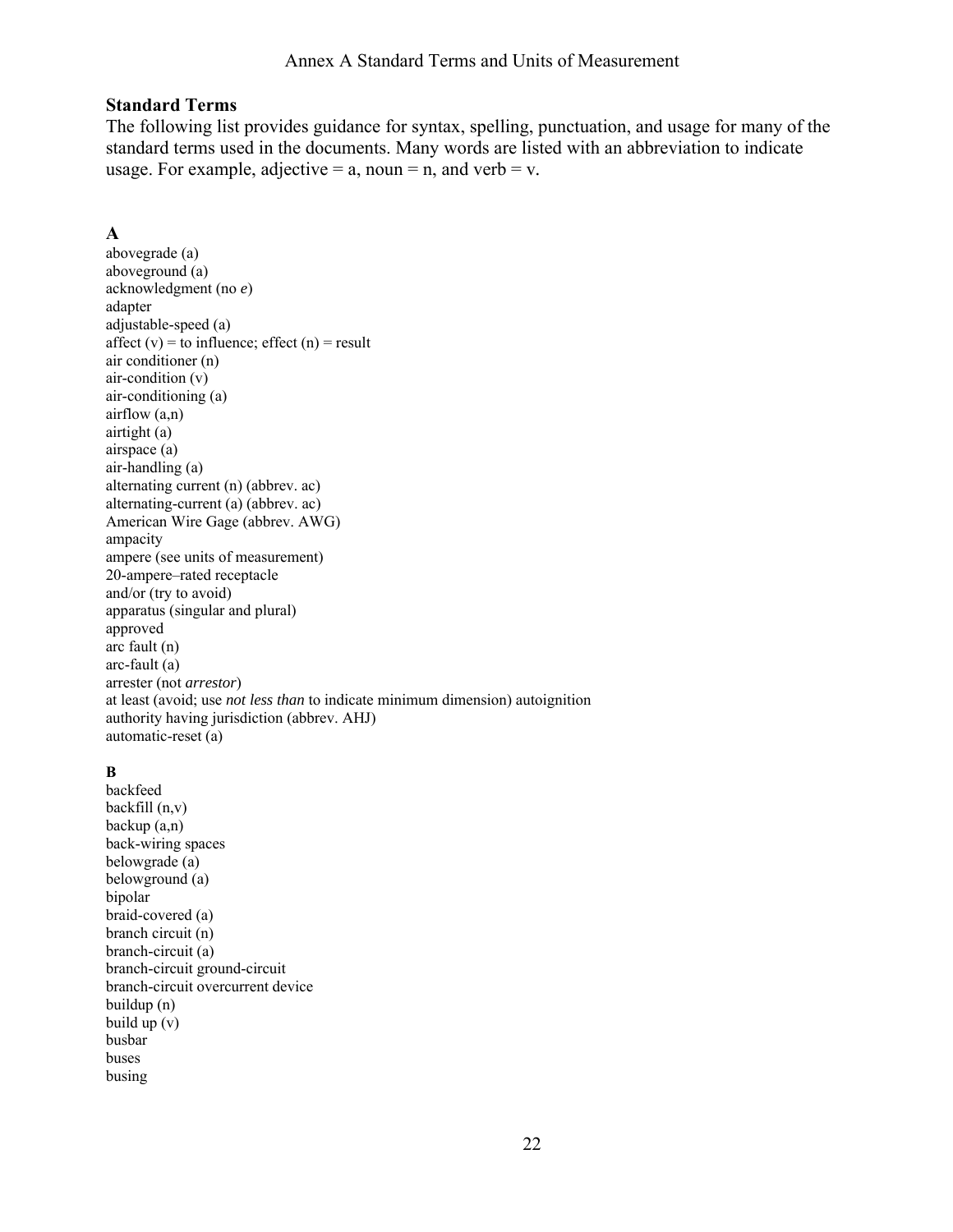### **Standard Terms**

The following list provides guidance for syntax, spelling, punctuation, and usage for many of the standard terms used in the documents. Many words are listed with an abbreviation to indicate usage. For example, adjective  $= a$ , noun  $= n$ , and verb  $= v$ .

### **A**

abovegrade (a) aboveground (a) acknowledgment (no *e*) adapter adjustable-speed (a) affect  $(v)$  = to influence; effect  $(n)$  = result air conditioner (n) air-condition (v) air-conditioning (a) airflow (a,n) airtight (a) airspace (a) air-handling (a) alternating current (n) (abbrev. ac) alternating-current (a) (abbrev. ac) American Wire Gage (abbrev. AWG) ampacity ampere (see units of measurement) 20-ampere–rated receptacle and/or (try to avoid) apparatus (singular and plural) approved arc fault (n) arc-fault (a) arrester (not *arrestor*) at least (avoid; use *not less than* to indicate minimum dimension) autoignition authority having jurisdiction (abbrev. AHJ) automatic-reset (a)

# **B**

backfeed backfill (n,v) backup (a,n) back-wiring spaces belowgrade (a) belowground (a) bipolar braid-covered (a) branch circuit (n) branch-circuit (a) branch-circuit ground-circuit branch-circuit overcurrent device buildup (n) build up (v) busbar buses busing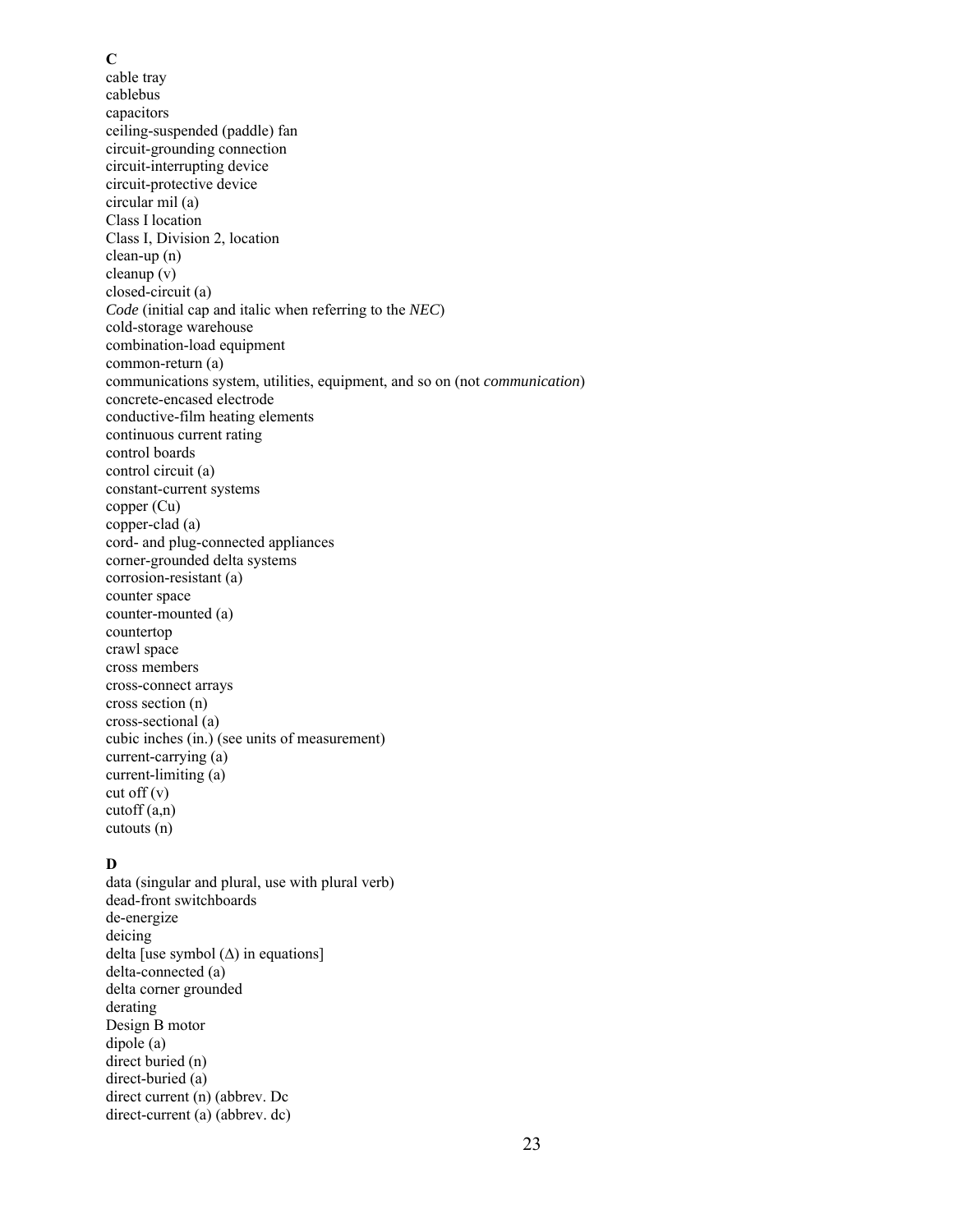#### **C**

cable tray cablebus capacitors ceiling-suspended (paddle) fan circuit-grounding connection circuit-interrupting device circuit-protective device circular mil (a) Class I location Class I, Division 2, location clean-up (n) cleanup (v) closed-circuit (a) *Code* (initial cap and italic when referring to the *NEC*) cold-storage warehouse combination-load equipment common-return (a) communications system, utilities, equipment, and so on (not *communication*) concrete-encased electrode conductive-film heating elements continuous current rating control boards control circuit (a) constant-current systems copper (Cu) copper-clad (a) cord- and plug-connected appliances corner-grounded delta systems corrosion-resistant (a) counter space counter-mounted (a) countertop crawl space cross members cross-connect arrays cross section (n) cross-sectional (a) cubic inches (in.) (see units of measurement) current-carrying (a) current-limiting (a)  $cut off (v)$ cutoff (a,n) cutouts (n)

### **D**

data (singular and plural, use with plural verb) dead-front switchboards de-energize deicing delta [use symbol  $(∆)$  in equations] delta-connected (a) delta corner grounded derating Design B motor dipole (a) direct buried (n) direct-buried (a) direct current (n) (abbrev. Dc direct-current (a) (abbrev. dc)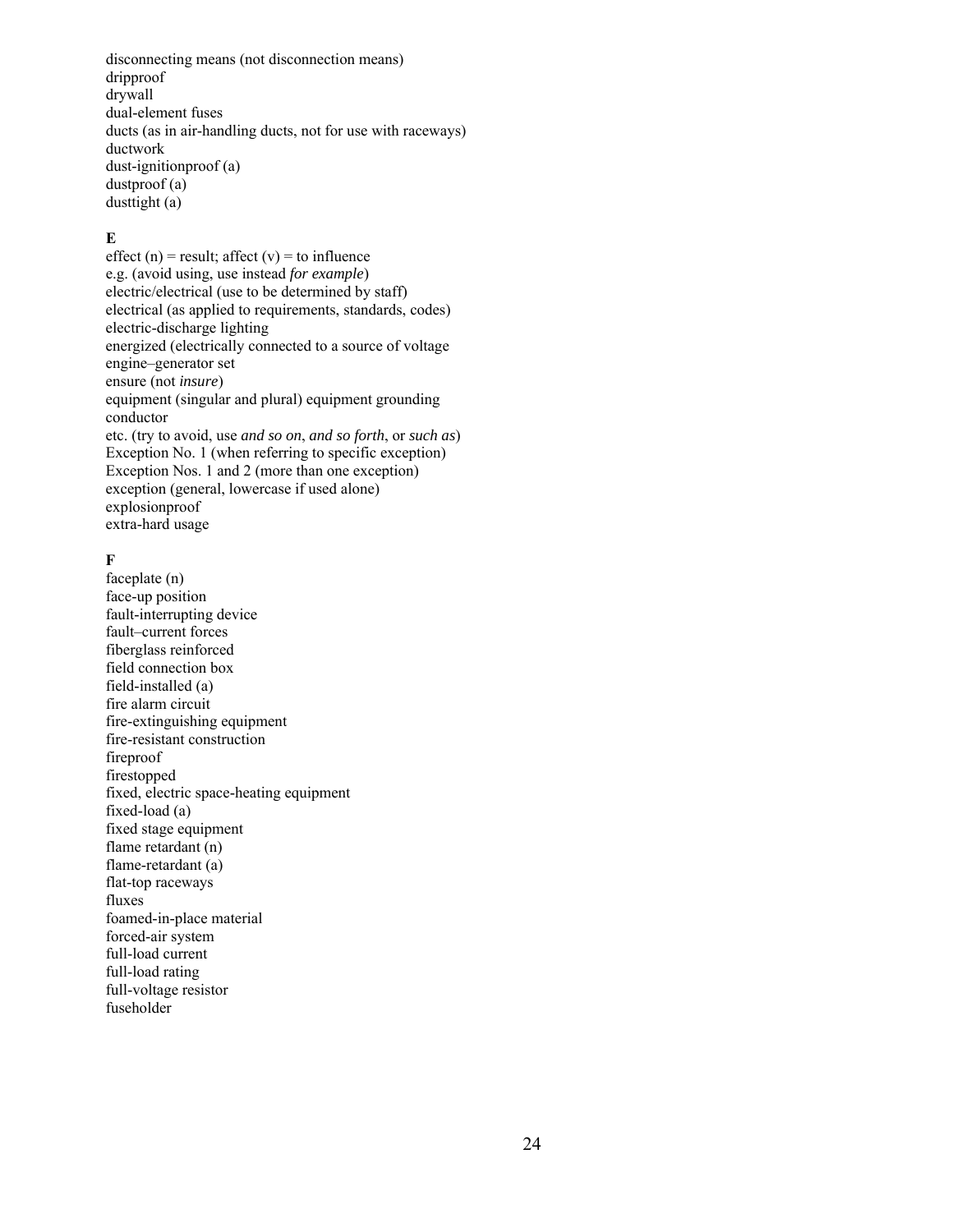disconnecting means (not disconnection means) dripproof drywall dual-element fuses ducts (as in air-handling ducts, not for use with raceways) ductwork dust-ignitionproof (a) dustproof (a) dusttight (a)

### **E**

effect (n) = result; affect (v) = to influence e.g. (avoid using, use instead *for example*) electric/electrical (use to be determined by staff) electrical (as applied to requirements, standards, codes) electric-discharge lighting energized (electrically connected to a source of voltage engine–generator set ensure (not *insure*) equipment (singular and plural) equipment grounding conductor etc. (try to avoid, use *and so on*, *and so forth*, or *such as*) Exception No. 1 (when referring to specific exception) Exception Nos. 1 and 2 (more than one exception) exception (general, lowercase if used alone) explosionproof extra-hard usage

### **F**

faceplate (n) face-up position fault-interrupting device fault–current forces fiberglass reinforced field connection box field-installed (a) fire alarm circuit fire-extinguishing equipment fire-resistant construction fireproof firestopped fixed, electric space-heating equipment fixed-load (a) fixed stage equipment flame retardant (n) flame-retardant (a) flat-top raceways fluxes foamed-in-place material forced-air system full-load current full-load rating full-voltage resistor fuseholder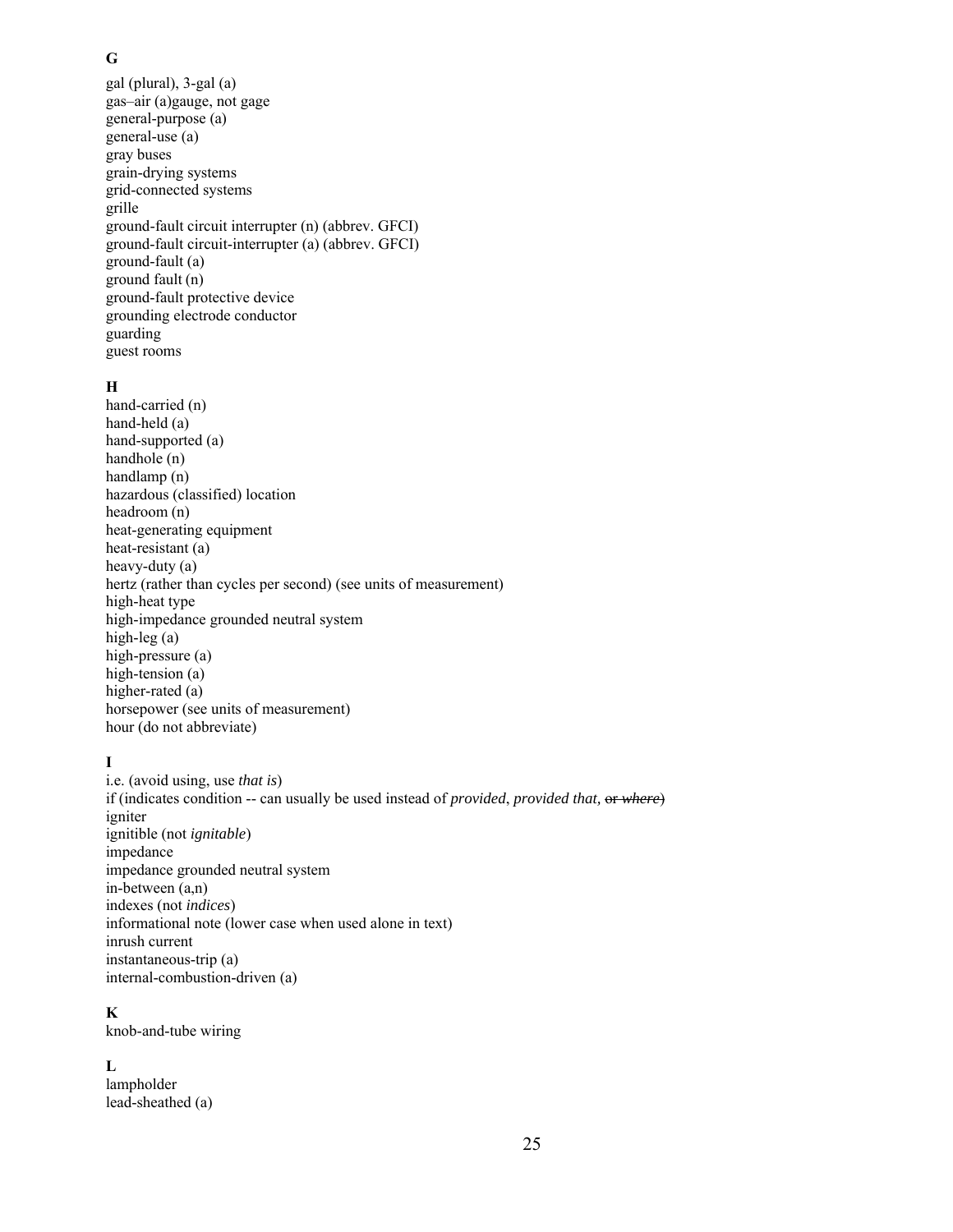### **G**

gal (plural), 3-gal (a) gas–air (a)gauge, not gage general-purpose (a) general-use (a) gray buses grain-drying systems grid-connected systems grille ground-fault circuit interrupter (n) (abbrev. GFCI) ground-fault circuit-interrupter (a) (abbrev. GFCI) ground-fault (a) ground fault (n) ground-fault protective device grounding electrode conductor guarding guest rooms

### **H**

hand-carried (n) hand-held (a) hand-supported (a) handhole (n) handlamp (n) hazardous (classified) location headroom (n) heat-generating equipment heat-resistant (a) heavy-duty (a) hertz (rather than cycles per second) (see units of measurement) high-heat type high-impedance grounded neutral system high-leg (a) high-pressure (a) high-tension (a) higher-rated (a) horsepower (see units of measurement) hour (do not abbreviate)

# **I**

i.e. (avoid using, use *that is*) if (indicates condition -- can usually be used instead of *provided*, *provided that,* or *where*) igniter ignitible (not *ignitable*) impedance impedance grounded neutral system in-between (a,n) indexes (not *indices*) informational note (lower case when used alone in text) inrush current instantaneous-trip (a) internal-combustion-driven (a)

### **K**

knob-and-tube wiring

### **L**

lampholder lead-sheathed (a)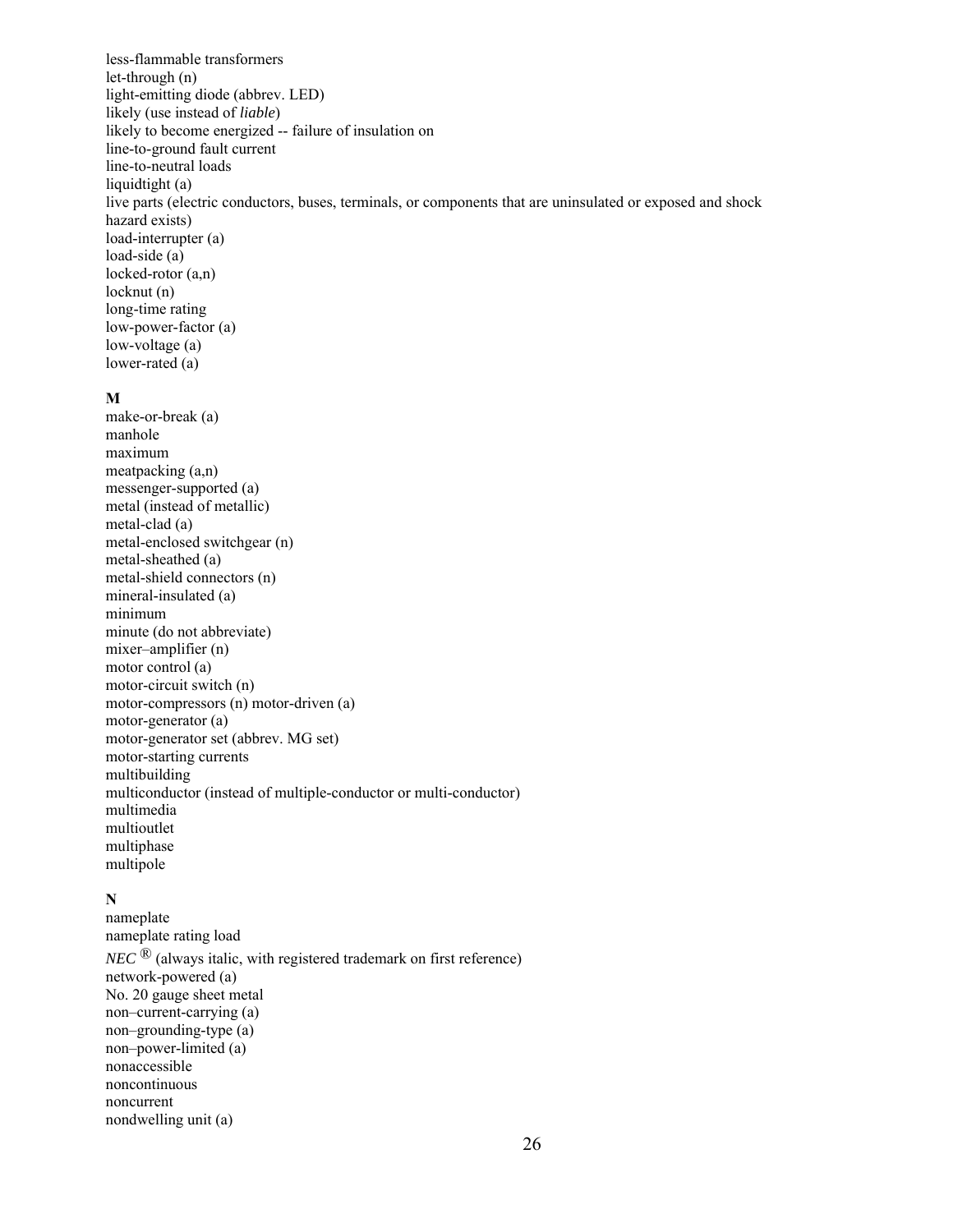less-flammable transformers let-through (n) light-emitting diode (abbrev. LED) likely (use instead of *liable*) likely to become energized -- failure of insulation on line-to-ground fault current line-to-neutral loads liquidtight (a) live parts (electric conductors, buses, terminals, or components that are uninsulated or exposed and shock hazard exists) load-interrupter (a) load-side (a) locked-rotor (a,n) locknut (n) long-time rating low-power-factor (a) low-voltage (a) lower-rated (a)

#### **M**

make-or-break (a) manhole maximum meatpacking (a,n) messenger-supported (a) metal (instead of metallic) metal-clad (a) metal-enclosed switchgear (n) metal-sheathed (a) metal-shield connectors (n) mineral-insulated (a) minimum minute (do not abbreviate) mixer–amplifier (n) motor control (a) motor-circuit switch (n) motor-compressors (n) motor-driven (a) motor-generator (a) motor-generator set (abbrev. MG set) motor-starting currents multibuilding multiconductor (instead of multiple-conductor or multi-conductor) multimedia multioutlet multiphase multipole

### **N**

nameplate nameplate rating load  $NEC$ <sup>®</sup> (always italic, with registered trademark on first reference) network-powered (a) No. 20 gauge sheet metal non–current-carrying (a) non–grounding-type (a) non–power-limited (a) nonaccessible noncontinuous noncurrent nondwelling unit (a)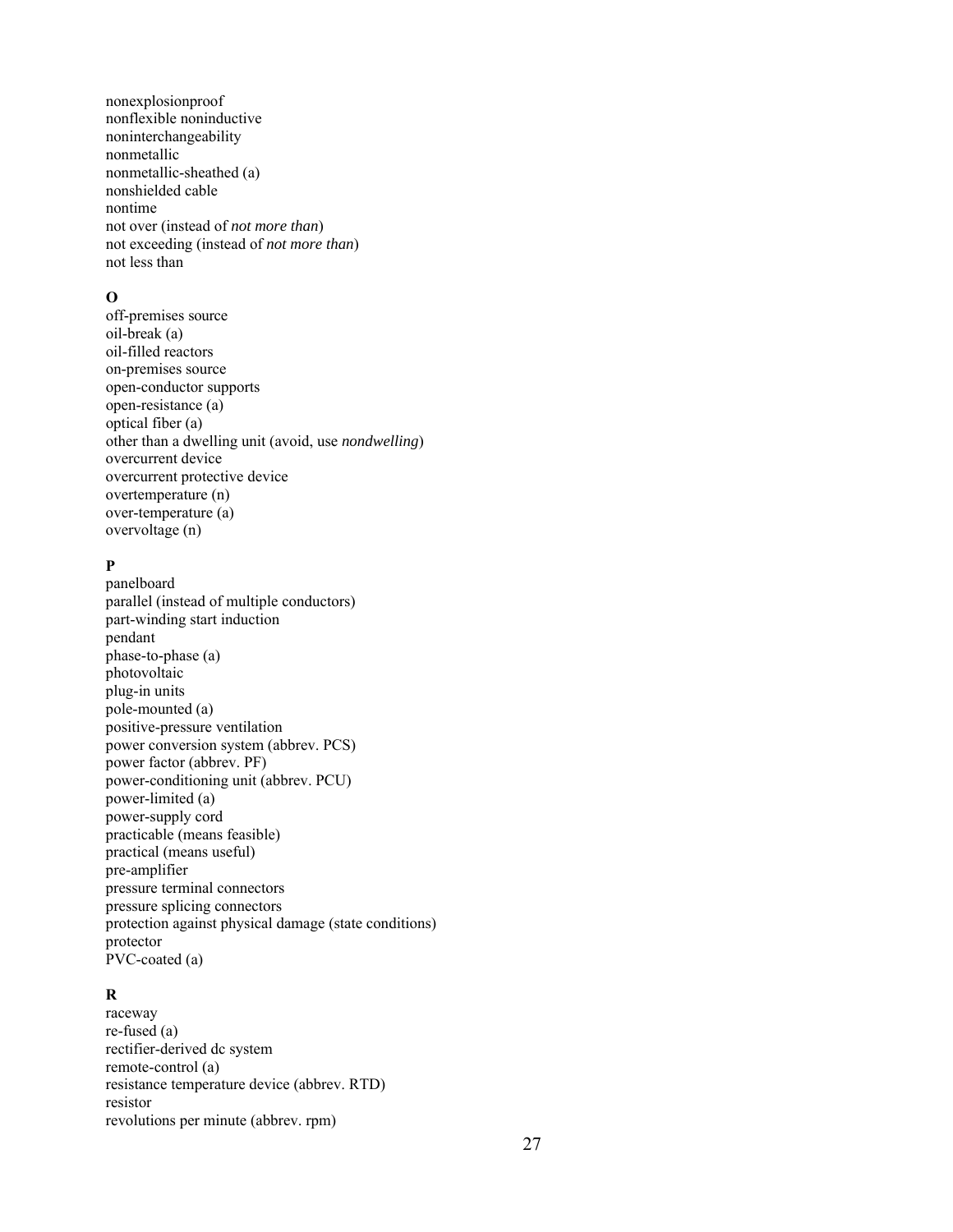nonexplosionproof nonflexible noninductive noninterchangeability nonmetallic nonmetallic-sheathed (a) nonshielded cable nontime not over (instead of *not more than*) not exceeding (instead of *not more than*) not less than

#### **O**

off-premises source oil-break (a) oil-filled reactors on-premises source open-conductor supports open-resistance (a) optical fiber (a) other than a dwelling unit (avoid, use *nondwelling*) overcurrent device overcurrent protective device overtemperature (n) over-temperature (a) overvoltage (n)

# **P**

panelboard parallel (instead of multiple conductors) part-winding start induction pendant phase-to-phase (a) photovoltaic plug-in units pole-mounted (a) positive-pressure ventilation power conversion system (abbrev. PCS) power factor (abbrev. PF) power-conditioning unit (abbrev. PCU) power-limited (a) power-supply cord practicable (means feasible) practical (means useful) pre-amplifier pressure terminal connectors pressure splicing connectors protection against physical damage (state conditions) protector PVC-coated (a)

### **R**

raceway re-fused (a) rectifier-derived dc system remote-control (a) resistance temperature device (abbrev. RTD) resistor revolutions per minute (abbrev. rpm)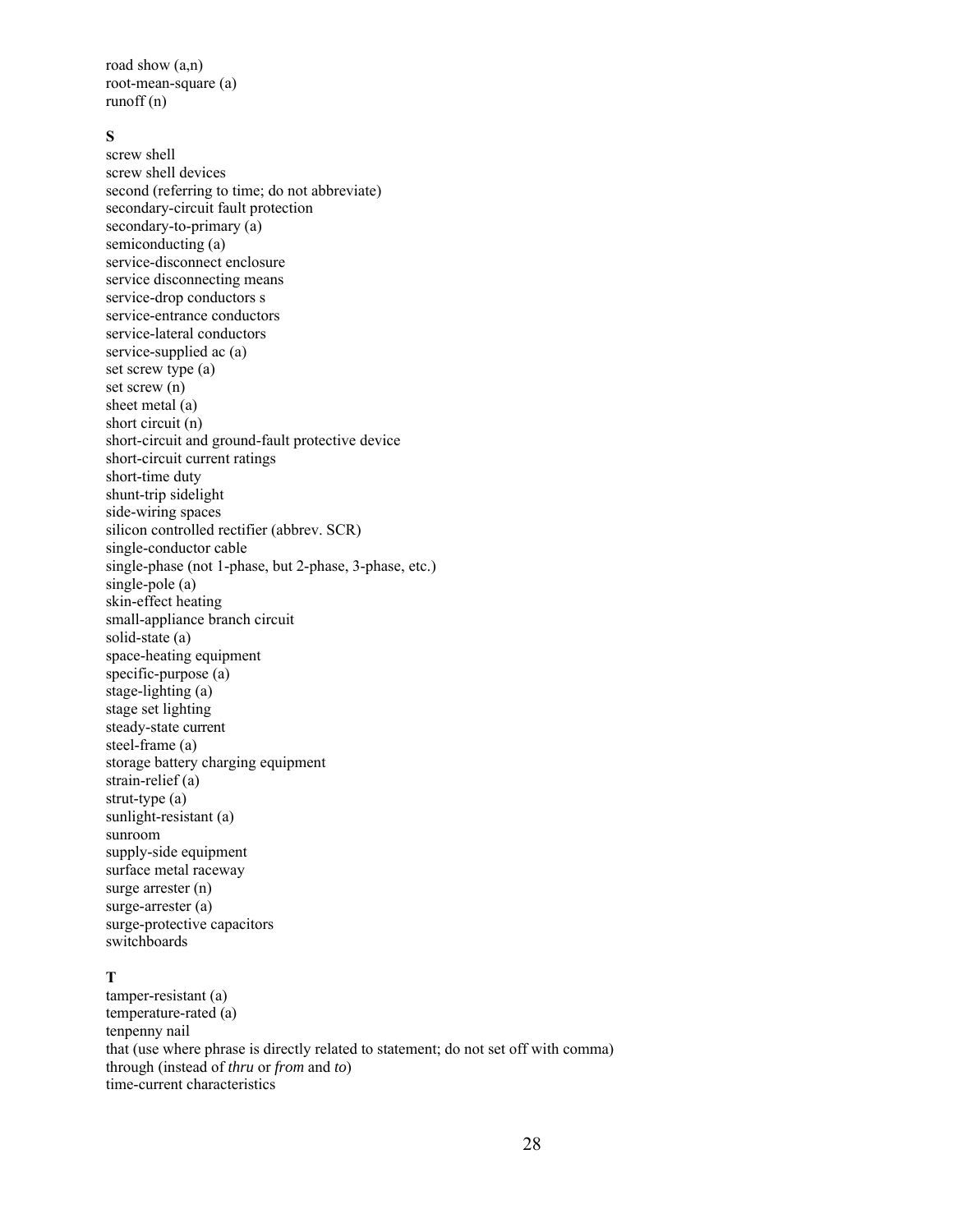road show (a,n) root-mean-square (a) runoff (n)

### **S**

screw shell screw shell devices second (referring to time; do not abbreviate) secondary-circuit fault protection secondary-to-primary (a) semiconducting (a) service-disconnect enclosure service disconnecting means service-drop conductors s service-entrance conductors service-lateral conductors service-supplied ac (a) set screw type (a) set screw (n) sheet metal (a) short circuit (n) short-circuit and ground-fault protective device short-circuit current ratings short-time duty shunt-trip sidelight side-wiring spaces silicon controlled rectifier (abbrev. SCR) single-conductor cable single-phase (not 1-phase, but 2-phase, 3-phase, etc.) single-pole (a) skin-effect heating small-appliance branch circuit solid-state (a) space-heating equipment specific-purpose (a) stage-lighting (a) stage set lighting steady-state current steel-frame (a) storage battery charging equipment strain-relief (a) strut-type (a) sunlight-resistant (a) sunroom supply-side equipment surface metal raceway surge arrester (n) surge-arrester (a) surge-protective capacitors switchboards

### **T**

tamper-resistant (a) temperature-rated (a) tenpenny nail that (use where phrase is directly related to statement; do not set off with comma) through (instead of *thru* or *from* and *to*) time-current characteristics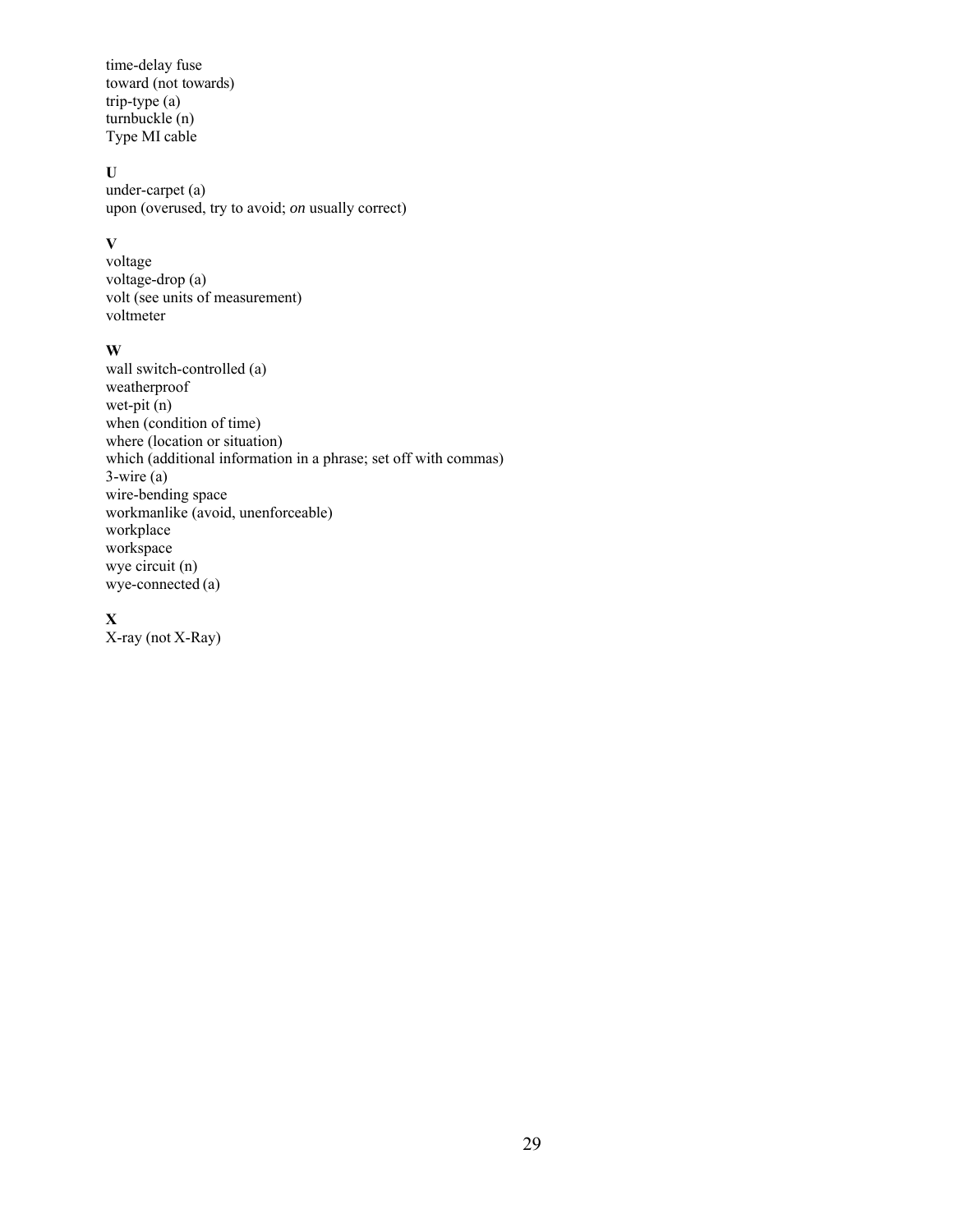time-delay fuse toward (not towards) trip-type (a) turnbuckle (n) Type MI cable

### **U**

under-carpet (a) upon (overused, try to avoid; *on* usually correct)

### **V**

voltage voltage-drop (a) volt (see units of measurement) voltmeter

### **W**

wall switch-controlled (a) weatherproof wet-pit  $(n)$ when (condition of time) where (location or situation) which (additional information in a phrase; set off with commas) 3-wire (a) wire-bending space workmanlike (avoid, unenforceable) workplace workspace wye circuit (n) wye-connected (a)

### **X**

X-ray (not X-Ray)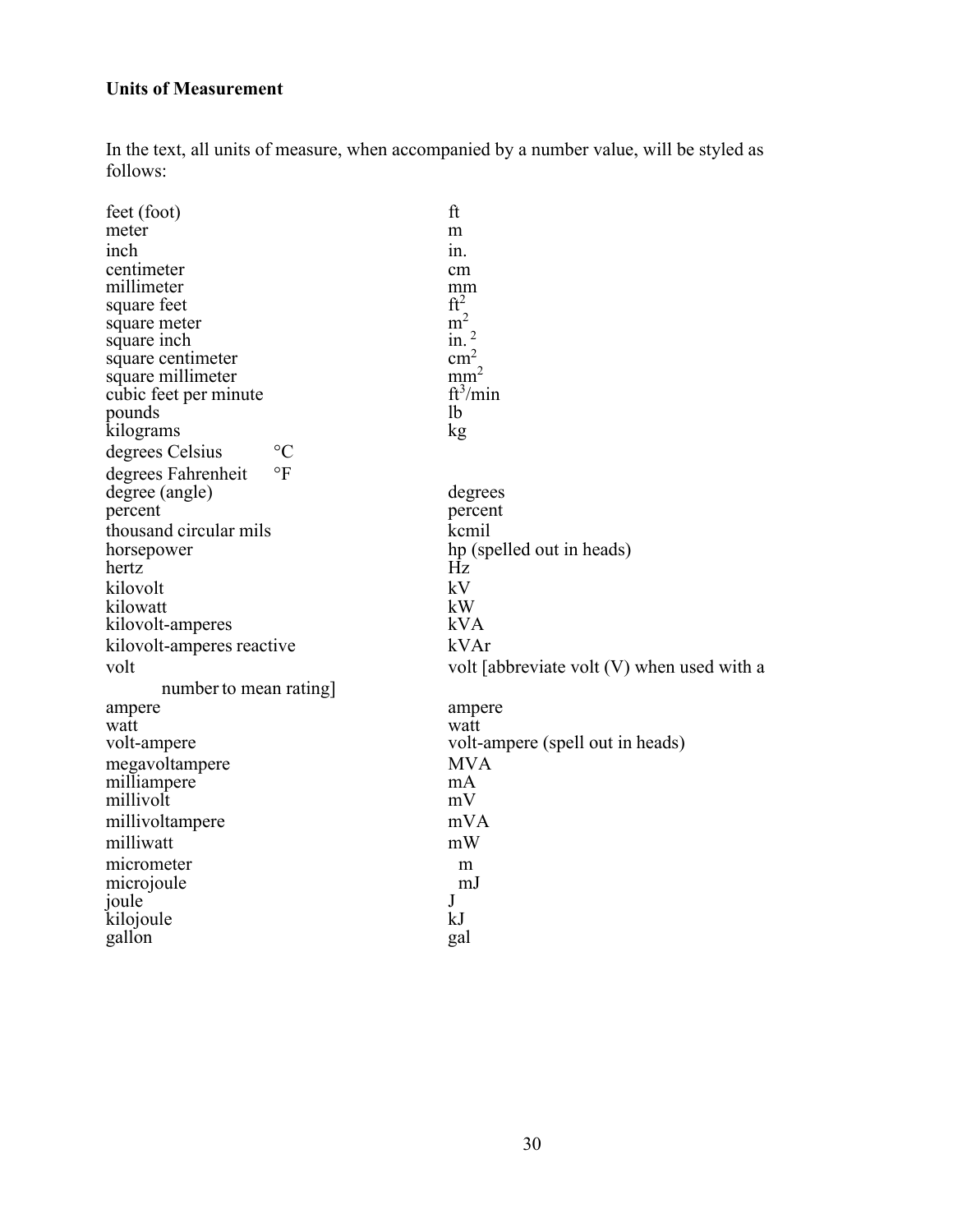# **Units of Measurement**

In the text, all units of measure, when accompanied by a number value, will be styled as follows:

| feet (foot)                        | ft                                           |
|------------------------------------|----------------------------------------------|
| meter                              | m                                            |
| inch                               | in.                                          |
| centimeter                         | cm                                           |
| millimeter                         | mm                                           |
| square feet                        | ft <sup>2</sup>                              |
| square meter                       | m <sup>2</sup>                               |
| square inch                        | in.                                          |
| square centimeter                  | $\text{cm}^2$                                |
| square millimeter                  | mm <sup>2</sup>                              |
| cubic feet per minute              | $ft^3/min$                                   |
| pounds                             | 1b                                           |
| kilograms                          | kg                                           |
| $\rm ^{\circ}C$<br>degrees Celsius |                                              |
| $\circ$ F<br>degrees Fahrenheit    |                                              |
| degree (angle)                     | degrees                                      |
| percent                            | percent                                      |
| thousand circular mils             | kcmil                                        |
| horsepower                         | hp (spelled out in heads)                    |
| hertz                              | Hz                                           |
| kilovolt                           | kV                                           |
| kilowatt                           | kW                                           |
| kilovolt-amperes                   | kVA                                          |
| kilovolt-amperes reactive          | kVAr                                         |
| volt                               | volt [abbreviate volt $(V)$ when used with a |
| number to mean rating              |                                              |
| ampere                             | ampere                                       |
| watt                               | watt                                         |
| volt-ampere                        | volt-ampere (spell out in heads)             |
| megavoltampere                     | <b>MVA</b>                                   |
| milliampere                        | mA                                           |
| millivolt                          | mV                                           |
| millivoltampere                    | mVA                                          |
| milliwatt                          | mW                                           |
| micrometer                         | m                                            |
| microjoule                         | mJ                                           |
| joule                              | J                                            |
| kilojoule                          | kJ                                           |
| gallon                             | gal                                          |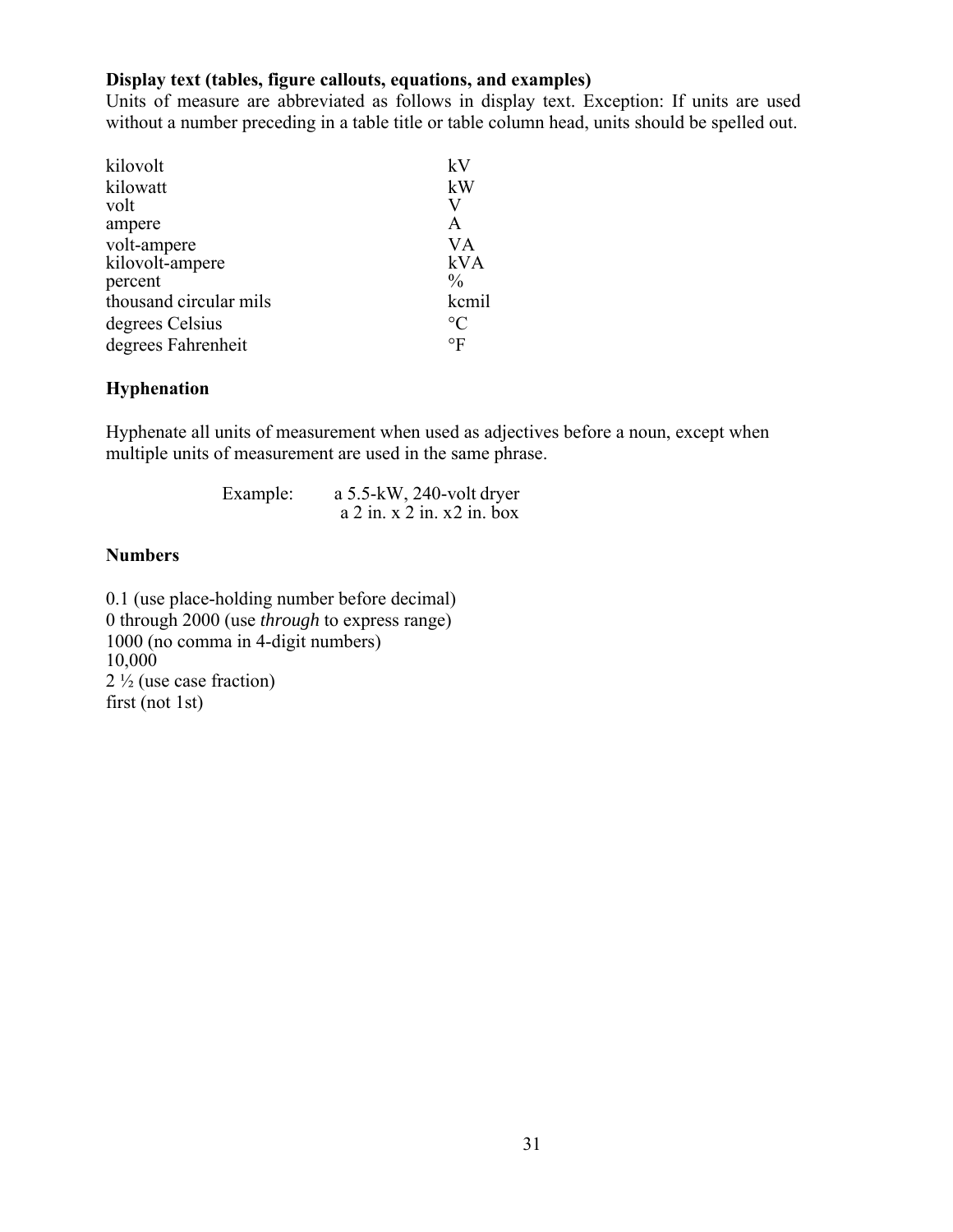# **Display text (tables, figure callouts, equations, and examples)**

Units of measure are abbreviated as follows in display text. Exception: If units are used without a number preceding in a table title or table column head, units should be spelled out.

| kilovolt               | kV              |
|------------------------|-----------------|
| kilowatt               | kW              |
| volt                   | V               |
| ampere                 | A               |
| volt-ampere            | <b>VA</b>       |
| kilovolt-ampere        | kVA             |
| percent                | $\frac{0}{0}$   |
| thousand circular mils | kcmil           |
| degrees Celsius        | $\rm ^{\circ}C$ |
| degrees Fahrenheit     | $\circ$ F       |

# **Hyphenation**

Hyphenate all units of measurement when used as adjectives before a noun, except when multiple units of measurement are used in the same phrase.

| Example: | a $5.5$ -kW, 240-volt dryer   |  |
|----------|-------------------------------|--|
|          | $a$ 2 in. x 2 in. x 2 in. box |  |

# **Numbers**

0.1 (use place-holding number before decimal) 0 through 2000 (use *through* to express range) 1000 (no comma in 4-digit numbers) 10,000 2 ½ (use case fraction) first (not 1st)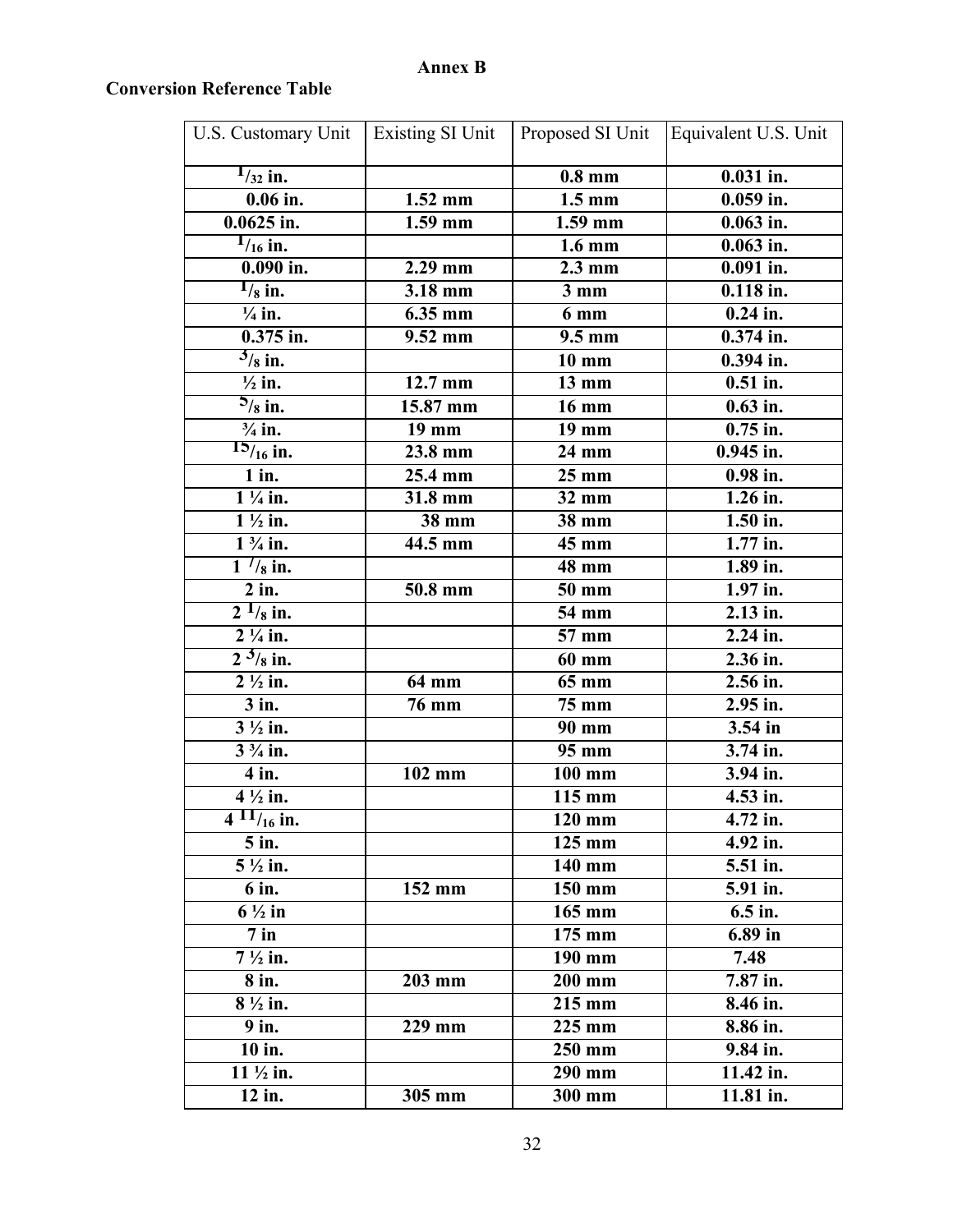# **Annex B**

# **Conversion Reference Table**

| U.S. Customary Unit              | Existing SI Unit     | Proposed SI Unit    | Equivalent U.S. Unit  |
|----------------------------------|----------------------|---------------------|-----------------------|
| $1/32$ in.                       |                      | $0.8 \text{ mm}$    | $0.031$ in.           |
| $\overline{0.06}$ in.            | $\overline{1.52}$ mm | $\overline{1.5}$ mm | $0.059$ in.           |
| $0.0625$ in.                     | $1.59$ mm            | $1.59$ mm           | $0.063$ in.           |
| $\frac{1}{16}$ in.               |                      | $1.6 \text{ mm}$    | $0.063$ in.           |
| $0.090$ in.                      | $2.29$ mm            | $2.3 \text{ mm}$    | $0.091$ in.           |
| $\frac{1}{8}$ in.                | 3.18 mm              | $3 \text{ mm}$      | $0.118$ in.           |
| $\frac{1}{4}$ in.                | 6.35 mm              | 6 mm                | $0.24$ in.            |
| $0.375$ in.                      | $9.52$ mm            | $9.5 \text{ mm}$    | $0.374$ in.           |
| $\frac{3}{8}$ in.                |                      | $10 \text{ mm}$     | $0.394$ in.           |
| $\frac{1}{2}$ in.                | 12.7 mm              | 13 mm               | $0.51$ in.            |
| $\frac{5}{8}$ in.                | 15.87 mm             | $\overline{16}$ mm  | $0.63$ in.            |
| $\frac{3}{4}$ in.                | 19 mm                | 19 mm               | $0.75$ in.            |
| $15/16$ in.                      | 23.8 mm              | 24 mm               | $0.945$ in.           |
| $1$ in.                          | 25.4 mm              | $25 \text{ mm}$     | $0.98$ in.            |
| $1\frac{1}{4}$ in.               | $\overline{3}1.8$ mm | 32 mm               | $\overline{1.26}$ in. |
| $1\frac{1}{2}$ in.               | 38 mm                | 38 mm               | 1.50 in.              |
| $1\frac{3}{4}$ in.               | $\overline{44.5}$ mm | $45 \text{ mm}$     | $1.77$ in.            |
| $\frac{1}{1}$ / <sub>8</sub> in. |                      | 48 mm               | 1.89 in.              |
| $2$ in.                          | 50.8 mm              | $\overline{50}$ mm  | $\overline{1.97}$ in. |
| $\frac{1}{2}$ $\frac{1}{8}$ in.  |                      | 54 mm               | 2.13 in.              |
| $2\frac{1}{4}$ in.               |                      | 57 mm               | 2.24 in.              |
| $2^{3}/_{8}$ in.                 |                      | <b>60 mm</b>        | 2.36 in.              |
| $\overline{2}$ $\frac{1}{2}$ in. | 64 mm                | 65 mm               | 2.56 in.              |
| $3$ in.                          | <b>76 mm</b>         | <b>75 mm</b>        | 2.95 in.              |
| $3\frac{1}{2}$ in.               |                      | 90 mm               | 3.54 in               |
| $3\frac{3}{4}$ in.               |                      | $\overline{95}$ mm  | 3.74 in.              |
| $\overline{4}$ in.               | 102 mm               | 100 mm              | 3.94 in.              |
| $4\frac{1}{2}$ in.               |                      | 115 mm              | 4.53 in.              |
| $4 \frac{11}{16}$ in.            |                      | $\overline{120}$ mm | 4.72 in.              |
| $5$ in.                          |                      | 125 mm              | 4.92 in.              |
| $5\frac{1}{2}$ in.               |                      | 140 mm              | 5.51 in.              |
| 6 in.                            | 152 mm               | 150 mm              | 5.91 in.              |
| $6\frac{1}{2}$ in                |                      | $165$ mm            | 6.5 in.               |
| $7$ in                           |                      | 175 mm              | 6.89 in               |
| $7\frac{1}{2}$ in.               |                      | 190 mm              | 7.48                  |
| 8 in.                            | 203 mm               | 200 mm              | 7.87 in.              |
| $8\frac{1}{2}$ in.               |                      | $215 \text{ mm}$    | 8.46 in.              |
| 9 in.                            | 229 mm               | $225 \text{ mm}$    | 8.86 in.              |
| 10 in.                           |                      | 250 mm              | 9.84 in.              |
| $11 \frac{1}{2}$ in.             |                      | $290$ mm            | 11.42 in.             |
| 12 in.                           | 305 mm               | 300 mm              | 11.81 in.             |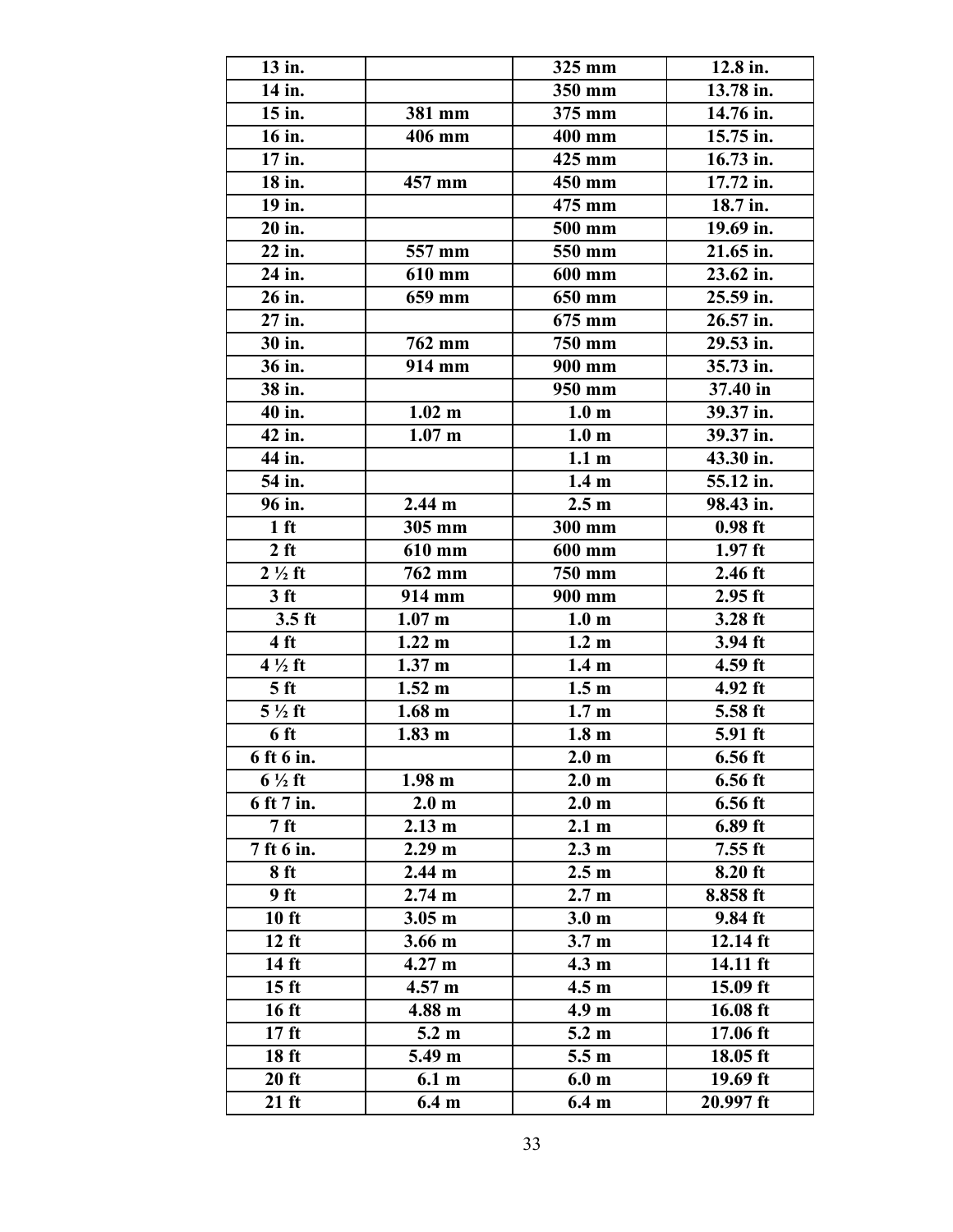| 13 in.              |                   | 325 mm              | 12.8 in.   |
|---------------------|-------------------|---------------------|------------|
| 14 in.              |                   | $350$ mm            | 13.78 in.  |
| 15 in.              | 381 mm            | 375 mm              | 14.76 in.  |
| $\overline{16}$ in. | 406 mm            | $\overline{4}00$ mm | 15.75 in.  |
| $\overline{17}$ in. |                   | 425 mm              | 16.73 in.  |
| 18 in.              | 457 mm            | 450 mm              | 17.72 in.  |
| 19 in.              |                   | 475 mm              | 18.7 in.   |
| 20 in.              |                   | 500 mm              | 19.69 in.  |
| 22 in.              | 557 mm            | 550 mm              | 21.65 in.  |
| 24 in.              | 610 mm            | 600 mm              | 23.62 in.  |
| $\overline{26}$ in. | 659 mm            | 650 mm              | 25.59 in.  |
| 27 in.              |                   | 675 mm              | 26.57 in.  |
| 30 in.              | 762 mm            | 750 mm              | 29.53 in.  |
| 36 in.              | 914 mm            | 900 mm              | 35.73 in.  |
| 38 in.              |                   | $\overline{9}50$ mm | 37.40 in   |
| 40 in.              | $1.02 \text{ m}$  | 1.0 <sub>m</sub>    | 39.37 in.  |
| $\overline{42}$ in. | $1.07$ m          | 1.0 <sub>m</sub>    | 39.37 in.  |
| 44 in.              |                   | 1.1 <sub>m</sub>    | 43.30 in.  |
| 54 in.              |                   | 1.4 <sub>m</sub>    | 55.12 in.  |
| 96 in.              | $2.44 \text{ m}$  | 2.5 <sub>m</sub>    | 98.43 in.  |
| 1 <sub>ft</sub>     | 305 mm            | 300 mm              | $0.98$ ft  |
| $2$ ft              | 610 mm            | 600 mm              | $1.97$ ft  |
| $2\frac{1}{2}$ ft   | 762 mm            | 750 mm              | $2.46$ ft  |
| 3 <sub>ft</sub>     | 914 mm            | 900 mm              | $2.95$ ft  |
| $3.5$ ft            | $1.07$ m          | 1.0 <sub>m</sub>    | $3.28$ ft  |
| 4 <sub>ft</sub>     | $1.22 \text{ m}$  | $1.2 \text{ m}$     | 3.94 ft    |
| $4\frac{1}{2}$ ft   | 1.37 <sub>m</sub> | 1.4 <sub>m</sub>    | $4.59$ ft  |
| 5 <sub>ft</sub>     | $1.52 \text{ m}$  | 1.5 <sub>m</sub>    | 4.92 ft    |
| $5\frac{1}{2}$ ft   | $1.68 \text{ m}$  | 1.7 <sub>m</sub>    | 5.58 ft    |
| 6 ft                | $1.83$ m          | 1.8 <sub>m</sub>    | 5.91 ft    |
| 6 ft 6 in.          |                   | 2.0 <sub>m</sub>    | $6.56$ ft  |
| $6\frac{1}{2}$ ft   | 1.98 <sub>m</sub> | 2.0 <sub>m</sub>    | $6.56$ ft  |
| 6 ft 7 in.          | 2.0 <sub>m</sub>  | 2.0 <sub>m</sub>    | $6.56$ ft  |
| 7 <sub>ft</sub>     | $2.13 \text{ m}$  | 2.1 <sub>m</sub>    | 6.89 ft    |
| 7 ft 6 in.          | $2.29 \text{ m}$  | $2.3 \text{ m}$     | $7.55$ ft  |
| 8 ft                | $2.44 \text{ m}$  | 2.5 <sub>m</sub>    | 8.20 ft    |
| 9 ft                | $2.74 \text{ m}$  | 2.7 <sub>m</sub>    | $8.858$ ft |
| 10 ft               | $3.05 \text{ m}$  | 3.0 <sub>m</sub>    | 9.84 ft    |
| $12$ ft             | 3.66 <sub>m</sub> | 3.7 <sub>m</sub>    | 12.14 ft   |
| $14$ ft             | 4.27 <sub>m</sub> | 4.3 <sub>m</sub>    | 14.11 ft   |
| 15 <sub>ft</sub>    | 4.57 m            | 4.5 <sub>m</sub>    | 15.09 ft   |
| $16$ ft             | 4.88 m            | 4.9 <sub>m</sub>    | 16.08 ft   |
| 17 <sub>ft</sub>    | $5.2 \text{ m}$   | 5.2 <sub>m</sub>    | 17.06 ft   |
| 18 <sub>ft</sub>    | 5.49 m            | 5.5 <sub>m</sub>    | 18.05 ft   |
| $20$ ft             | 6.1 <sub>m</sub>  | 6.0 <sub>m</sub>    | 19.69 ft   |
| $21$ ft             | 6.4 <sub>m</sub>  | 6.4 <sub>m</sub>    | 20.997 ft  |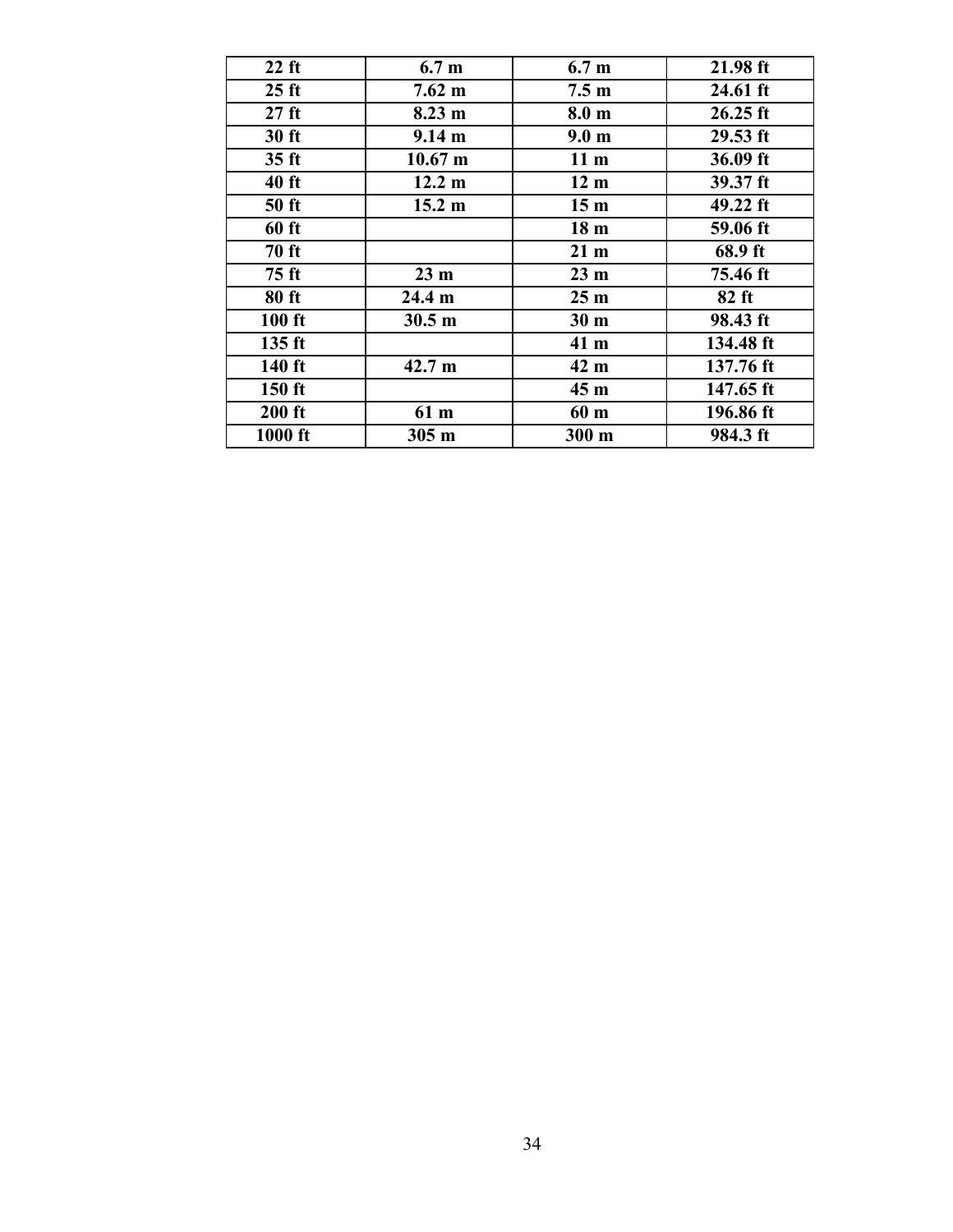| $22$ ft          | 6.7 <sub>m</sub>  | 6.7 <sub>m</sub> | 21.98 ft   |
|------------------|-------------------|------------------|------------|
| $25$ ft          | $7.62 \text{ m}$  | 7.5 <sub>m</sub> | $24.61$ ft |
| $27$ ft          | $8.23 \text{ m}$  | 8.0 <sub>m</sub> | $26.25$ ft |
| $30$ ft          | $9.14 \text{ m}$  | 9.0 <sub>m</sub> | $29.53$ ft |
| 35 <sub>ft</sub> | $10.67 \text{ m}$ | 11 <sub>m</sub>  | 36.09 ft   |
| $40$ ft          | $12.2 \text{ m}$  | 12 <sub>m</sub>  | 39.37 ft   |
| $50$ ft          | $15.2 \; m$       | 15 <sub>m</sub>  | $49.22$ ft |
| 60 ft            |                   | 18 <sub>m</sub>  | 59.06 ft   |
| <b>70 ft</b>     |                   | 21 <sub>m</sub>  | 68.9 ft    |
| 75 ft            | 23 <sub>m</sub>   | 23 <sub>m</sub>  | 75.46 ft   |
| 80 ft            | $24.4 \text{ m}$  | 25 <sub>m</sub>  | $82$ ft    |
| $100$ ft         | $30.5 \text{ m}$  | 30 <sub>m</sub>  | 98.43 ft   |
| $135$ ft         |                   | 41 m             | 134.48 ft  |
| $140$ ft         | $42.7 \text{ m}$  | 42 m             | 137.76 ft  |
| $150$ ft         |                   | 45 <sub>m</sub>  | 147.65 ft  |
| $200$ ft         | 61 m              | 60 m             | 196.86 ft  |
| 1000 ft          | $305 \text{ m}$   | $300 \text{ m}$  | 984.3 ft   |